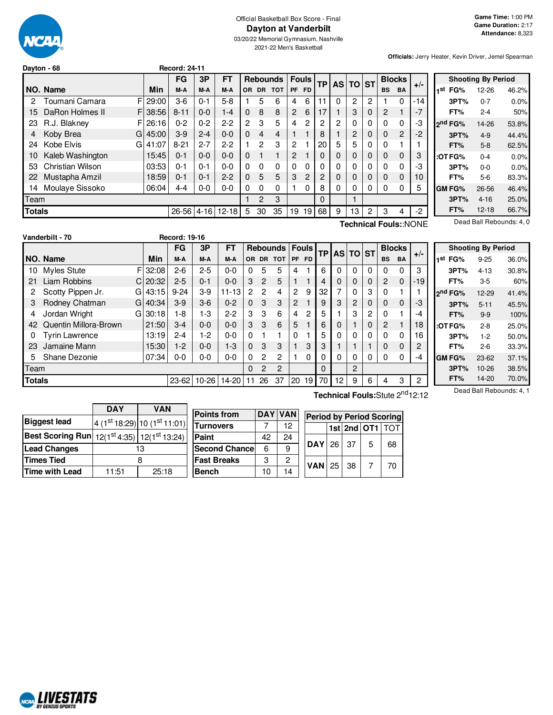

## Official Basketball Box Score - Final **Dayton at Vanderbilt**

03/20/22 Memorial Gymnasium, Nashville 2021-22 Men's Basketball

**Officials:** Jerry Heater, Kevin Driver, Jemel Spearman

|               | Dayton - 68      |             | <b>Record: 24-11</b> |         |           |    |       |                |                |           |      |   |          |              |             |                |                       |                     |                           |                         |
|---------------|------------------|-------------|----------------------|---------|-----------|----|-------|----------------|----------------|-----------|------|---|----------|--------------|-------------|----------------|-----------------------|---------------------|---------------------------|-------------------------|
|               |                  |             | <b>FG</b>            | 3P      | <b>FT</b> |    |       | Rebounds       |                | Fouls     | TP I |   | AS TO ST |              |             | <b>Blocks</b>  |                       |                     | <b>Shooting By Period</b> |                         |
|               | NO. Name         | Min         | M-A                  | M-A     | M-A       |    | OR DR | <b>TOT</b>     | <b>PF</b>      | <b>FD</b> |      |   |          |              | <b>BS</b>   | <b>BA</b>      | $+/-$                 | FG%<br>1st          | $12 - 26$                 | 46.2%                   |
|               | Toumani Camara   | $F$   29:00 | $3-6$                | $0 - 1$ | $5-8$     |    | 5     | 6              | 4              | 6         |      | 0 | 2        | 2            |             |                | $-14$                 | 3PT%                | $0 - 7$                   | 0.0%                    |
| 15            | DaRon Holmes II  | F 38:56     | $8 - 11$             | $0 - 0$ | $1 - 4$   | 0  | 8     | 8              | $\mathbf{2}$   | 6         | 17   |   | 3        | $\mathbf{0}$ | 2           |                | $-7$                  | FT%                 | $2 - 4$                   | 50%                     |
| 23            | R.J. Blakney     | $F$   26:16 | $0 - 2$              | $0 - 2$ | $2 - 2$   | 2  | 3     | 5              | 4              | 2         | 2    | 2 |          | 0            | 0           | 0              | -3                    | 2 <sup>nd</sup> FG% | 14-26                     | 53.8%                   |
|               | Koby Brea        | $G$ 45:00   | $3-9$                | $2 - 4$ | $0 - 0$   | 0  | 4     | $\overline{4}$ |                |           | 8    |   | 2        | $\mathbf{0}$ | 0           | $\overline{2}$ | $-2$                  | 3PT%                | $4-9$                     | 44.4%                   |
| 24            | Kobe Elvis       | $G$ 41:07   | $8 - 21$             | $2 - 7$ | $2 - 2$   |    | 2     | 3              | 2              |           | 20   | 5 | 5        | 0            | 0           |                |                       | FT%                 | $5-8$                     | 62.5%                   |
| 10            | Kaleb Washington | 15:45       | $0 - 1$              | $0 - 0$ | $0 - 0$   | 0  |       |                | $\overline{2}$ |           |      | 0 | $\Omega$ | $\mathbf{0}$ | $\Omega$    | $\mathbf{0}$   | 3                     | :OT FG%             | $0 - 4$                   | 0.0%                    |
| 53            | Christian Wilson | 03:53       | 0-1                  | $0 - 1$ | $0 - 0$   | 0  | 0     | 0              | 0              |           | 0    | 0 |          | 0            | 0           |                | -3                    | 3PT%                | $0 - 0$                   | 0.0%                    |
| 22            | Mustapha Amzil   | 18:59       | $0 - 1$              | $0 - 1$ | $2 - 2$   | 0  | 5     | 5              | 3              | 2         | 2    | 0 |          | $\mathbf{0}$ | $\mathbf 0$ | $\mathbf 0$    | 10                    | FT%                 | $5-6$                     | 83.3%                   |
| 14            | Moulaye Sissoko  | 06:04       | $4 - 4$              | $0 - 0$ | $0-0$     | 0  | 0     | 0              |                |           | 8    | 0 |          | 0            | $\Omega$    | $\Omega$       | 5                     | <b>GM FG%</b>       | 26-56                     | 46.4%                   |
| Team          |                  |             |                      |         |           |    | 2     | 3              |                |           | 0    |   |          |              |             |                |                       | 3PT%                | $4 - 16$                  | 25.0%                   |
| <b>Totals</b> |                  |             | 26-56 4-16           |         | $12 - 18$ | 5. | 30    | 35             |                | 19 19     | 68   | 9 | 13       | 2            | 3           | 4              | $-2$                  | FT%                 | $12 - 18$                 | 66.7%                   |
|               |                  |             |                      |         |           |    |       |                |                |           |      |   |          |              |             |                | Technical Fouls::NONE |                     |                           | Dead Ball Rebounds: 4.0 |

|        | Vanderbilt - 70       |            | <b>Record: 19-16</b> |           |           |              |                |                 |                |                |           |          |          |          |                |               |                |
|--------|-----------------------|------------|----------------------|-----------|-----------|--------------|----------------|-----------------|----------------|----------------|-----------|----------|----------|----------|----------------|---------------|----------------|
|        |                       |            | FG                   | 3P        | <b>FT</b> |              |                | <b>Rebounds</b> |                | <b>Fouls</b>   | <b>TP</b> |          | AS TO ST |          |                | <b>Blocks</b> | $+/-$          |
|        | NO. Name              | Min        | M-A                  | M-A       | M-A       | OR.          |                | DR TOT          |                | PF FD          |           |          |          |          | <b>BS</b>      | <b>BA</b>     |                |
| 10     | <b>Myles Stute</b>    | F<br>32:08 | $2-6$                | $2 - 5$   | $0 - 0$   | 0            | 5              | 5               | 4              |                | 6         | 0        | $\Omega$ | 0        | $\Omega$       | 0             | 3              |
| 21     | Liam Robbins          | $Cl$ 20:32 | $2 - 5$              | $0 - 1$   | $0 - 0$   | 3            | $\overline{2}$ | 5               |                |                | 4         | $\Omega$ | $\Omega$ | 0        | $\overline{2}$ | $\Omega$      | $-19$          |
|        | Scotty Pippen Jr.     | 43:15<br>G | $9 - 24$             | $3-9$     | $11 - 13$ | 2            | $\mathcal{P}$  | 4               | 2              | 9              | 32        | 7        | $\Omega$ | 3        | $\Omega$       |               |                |
| 3      | Rodney Chatman        | 40:34<br>G | $3-9$                | $3-6$     | $0 - 2$   | $\Omega$     | 3              | 3               | $\overline{2}$ |                | 9         | 3        | 2        | 0        | $\Omega$       | $\Omega$      | -3             |
| 4      | Jordan Wright         | 30:18<br>G | 1-8                  | 1-3       | $2 - 2$   | 3            | 3              | 6               | 4              | $\overline{c}$ | 5         |          | 3        | 2        | $\Omega$       |               | -4             |
| 42     | Quentin Millora-Brown | 21:50      | $3-4$                | $0 - 0$   | $0 - 0$   | 3            | 3              | 6               | 5              |                | 6         | 0        |          | 0        | $\overline{2}$ |               | 18             |
|        | <b>Tyrin Lawrence</b> | 13:19      | $2 - 4$              | 1-2       | $0-0$     | $\mathbf{0}$ |                |                 | 0              |                | 5         | 0        | $\Omega$ | $\Omega$ | $\Omega$       | 0             | 16             |
| 23     | Jamaine Mann          | 15:30      | $1-2$                | $0 - 0$   | $1 - 3$   | 0            | 3              | 3               |                | 3              | 3         |          |          |          | $\Omega$       | $\Omega$      | $\overline{2}$ |
| 5      | Shane Dezonie         | 07:34      | 0-0                  | 0-0       | $0-0$     | 0            | $\mathcal{P}$  | 2               |                | 0              | 0         | 0        | $\Omega$ | 0        | $\Omega$       | 0             | -4             |
| Team   |                       |            |                      |           |           | 0            | $\mathcal{P}$  | $\overline{2}$  |                |                | $\Omega$  |          | 2        |          |                |               |                |
| Totals |                       |            | $23 - 62$            | $10 - 26$ | 14-20     |              | 26             | 37              | 20             | 19             | 70        | 12       | 9        | 6        | 4              | 3             | 2              |

|     |                     | <b>Shooting By Period</b> |       |
|-----|---------------------|---------------------------|-------|
| 1st | FG%                 | $9 - 25$                  | 36.0% |
|     | 3PT%                | $4 - 13$                  | 30.8% |
|     | FT%                 | 3-5                       | 60%   |
|     | 2 <sup>nd</sup> FG% | 12-29                     | 41.4% |
|     | 3PT%                | $5 - 11$                  | 45.5% |
|     | FT%                 | $9-9$                     | 100%  |
|     | :OT FG%             | $2 - 8$                   | 25.0% |
|     | 3PT%                | $1-2$                     | 50.0% |
|     | FT%                 | $2-6$                     | 33.3% |
|     | <b>GM FG%</b>       | 23-62                     | 37.1% |
|     | 3PT%                | 10-26                     | 38.5% |
|     | FT%                 | 14-20                     | 70.0% |

|                                                 | <b>DAY</b> | VAN                         |
|-------------------------------------------------|------------|-----------------------------|
| <b>Biggest lead</b>                             |            | $4(1st18:29) 10(1st11:01) $ |
| Best Scoring Run $ 12(1st 4:35) 12(1st 13:24) $ |            |                             |
| <b>Lead Changes</b>                             |            | 13                          |
| <b>Times Tied</b>                               |            | 8                           |
| <b>Time with Lead</b>                           | 11:51      | 25:18                       |

| <b>Points from</b>    |    | DAY VAN | Perior     |
|-----------------------|----|---------|------------|
| Turnovers             |    | 12      |            |
| Paint                 | 42 | 24      |            |
| <b>Second Chancel</b> | 6  | 9       | <b>DAY</b> |
| <b>Fast Breaks</b>    | З  | 2       | <b>VAN</b> |
| <b>Bench</b>          | 10 | 14      |            |

**Technical Fouls:**Stute 2<sup>nd</sup>12:12

Dead Ball Rebounds: 4, 1

|  |             |                 | <b>Period by Period Scoring</b> |
|--|-------------|-----------------|---------------------------------|
|  |             | 1st 2nd OT1 TOT |                                 |
|  | $DAY$ 26 37 | 5               | 68                              |
|  | $VAN$ 25 38 |                 | 70                              |

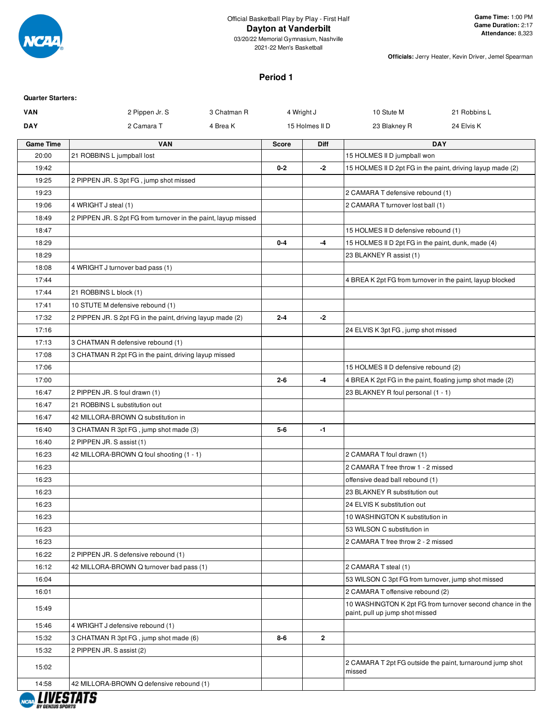

03/20/22 Memorial Gymnasium, Nashville 2021-22 Men's Basketball

**Officials:** Jerry Heater, Kevin Driver, Jemel Spearman

#### **Period 1**

| <b>Quarter Starters:</b> |                                                                |             |              |                |                                                           |                                                            |
|--------------------------|----------------------------------------------------------------|-------------|--------------|----------------|-----------------------------------------------------------|------------------------------------------------------------|
| <b>VAN</b>               | 2 Pippen Jr. S                                                 | 3 Chatman R |              | 4 Wright J     | 10 Stute M                                                | 21 Robbins L                                               |
| <b>DAY</b>               | 2 Camara T                                                     | 4 Brea K    |              | 15 Holmes II D | 23 Blakney R                                              | 24 Elvis K                                                 |
| <b>Game Time</b>         | <b>VAN</b>                                                     |             | <b>Score</b> | <b>Diff</b>    |                                                           | <b>DAY</b>                                                 |
| 20:00                    | 21 ROBBINS L jumpball lost                                     |             |              |                | 15 HOLMES II D jumpball won                               |                                                            |
| 19:42                    |                                                                |             | $0 - 2$      | -2             |                                                           | 15 HOLMES II D 2pt FG in the paint, driving layup made (2) |
| 19:25                    | 2 PIPPEN JR. S 3pt FG, jump shot missed                        |             |              |                |                                                           |                                                            |
| 19:23                    |                                                                |             |              |                | 2 CAMARA T defensive rebound (1)                          |                                                            |
| 19:06                    | 4 WRIGHT J steal (1)                                           |             |              |                | 2 CAMARA T turnover lost ball (1)                         |                                                            |
| 18:49                    | 2 PIPPEN JR. S 2pt FG from turnover in the paint, layup missed |             |              |                |                                                           |                                                            |
| 18:47                    |                                                                |             |              |                | 15 HOLMES II D defensive rebound (1)                      |                                                            |
| 18:29                    |                                                                |             | $0 - 4$      | -4             | 15 HOLMES II D 2pt FG in the paint, dunk, made (4)        |                                                            |
| 18:29                    |                                                                |             |              |                | 23 BLAKNEY R assist (1)                                   |                                                            |
| 18:08                    | 4 WRIGHT J turnover bad pass (1)                               |             |              |                |                                                           |                                                            |
| 17:44                    |                                                                |             |              |                | 4 BREA K 2pt FG from turnover in the paint, layup blocked |                                                            |
| 17:44                    | 21 ROBBINS L block (1)                                         |             |              |                |                                                           |                                                            |
| 17:41                    | 10 STUTE M defensive rebound (1)                               |             |              |                |                                                           |                                                            |
| 17:32                    | 2 PIPPEN JR. S 2pt FG in the paint, driving layup made (2)     |             | $2 - 4$      | $-2$           |                                                           |                                                            |
| 17:16                    |                                                                |             |              |                | 24 ELVIS K 3pt FG, jump shot missed                       |                                                            |
| 17:13                    | 3 CHATMAN R defensive rebound (1)                              |             |              |                |                                                           |                                                            |
| 17:08                    | 3 CHATMAN R 2pt FG in the paint, driving layup missed          |             |              |                |                                                           |                                                            |
| 17:06                    |                                                                |             |              |                | 15 HOLMES II D defensive rebound (2)                      |                                                            |
| 17:00                    |                                                                |             | $2 - 6$      | $-4$           | 4 BREA K 2pt FG in the paint, floating jump shot made (2) |                                                            |
| 16:47                    | 2 PIPPEN JR. S foul drawn (1)                                  |             |              |                | 23 BLAKNEY R foul personal (1 - 1)                        |                                                            |
| 16:47                    | 21 ROBBINS L substitution out                                  |             |              |                |                                                           |                                                            |
| 16:47                    | 42 MILLORA-BROWN Q substitution in                             |             |              |                |                                                           |                                                            |
| 16:40                    | 3 CHATMAN R 3pt FG, jump shot made (3)                         |             | $5-6$        | -1             |                                                           |                                                            |
| 16:40                    | 2 PIPPEN JR. S assist (1)                                      |             |              |                |                                                           |                                                            |
| 16:23                    | 42 MILLORA-BROWN Q foul shooting (1 - 1)                       |             |              |                | 2 CAMARA T foul drawn (1)                                 |                                                            |
| 16:23                    |                                                                |             |              |                | 2 CAMARA T free throw 1 - 2 missed                        |                                                            |
| 16:23                    |                                                                |             |              |                | offensive dead ball rebound (1)                           |                                                            |
| 16:23                    |                                                                |             |              |                | 23 BLAKNEY R substitution out                             |                                                            |
| 16:23                    |                                                                |             |              |                | 24 ELVIS K substitution out                               |                                                            |
| 16:23                    |                                                                |             |              |                | 10 WASHINGTON K substitution in                           |                                                            |
| 16:23                    |                                                                |             |              |                | 53 WILSON C substitution in                               |                                                            |
| 16:23                    |                                                                |             |              |                | 2 CAMARA T free throw 2 - 2 missed                        |                                                            |
| 16:22                    | 2 PIPPEN JR. S defensive rebound (1)                           |             |              |                |                                                           |                                                            |
| 16:12                    | 42 MILLORA-BROWN Q turnover bad pass (1)                       |             |              |                | 2 CAMARA T steal (1)                                      |                                                            |
| 16:04                    |                                                                |             |              |                | 53 WILSON C 3pt FG from turnover, jump shot missed        |                                                            |
| 16:01                    |                                                                |             |              |                | 2 CAMARA T offensive rebound (2)                          |                                                            |
| 15:49                    |                                                                |             |              |                | paint, pull up jump shot missed                           | 10 WASHINGTON K 2pt FG from turnover second chance in the  |
| 15:46                    | 4 WRIGHT J defensive rebound (1)                               |             |              |                |                                                           |                                                            |
| 15:32                    | 3 CHATMAN R 3pt FG, jump shot made (6)                         |             | $8 - 6$      | $\mathbf{2}$   |                                                           |                                                            |
| 15:32                    | 2 PIPPEN JR. S assist (2)                                      |             |              |                |                                                           |                                                            |
| 15:02                    |                                                                |             |              |                | missed                                                    | 2 CAMARA T 2pt FG outside the paint, turnaround jump shot  |
| 14:58                    | 42 MILLORA-BROWN Q defensive rebound (1)                       |             |              |                |                                                           |                                                            |

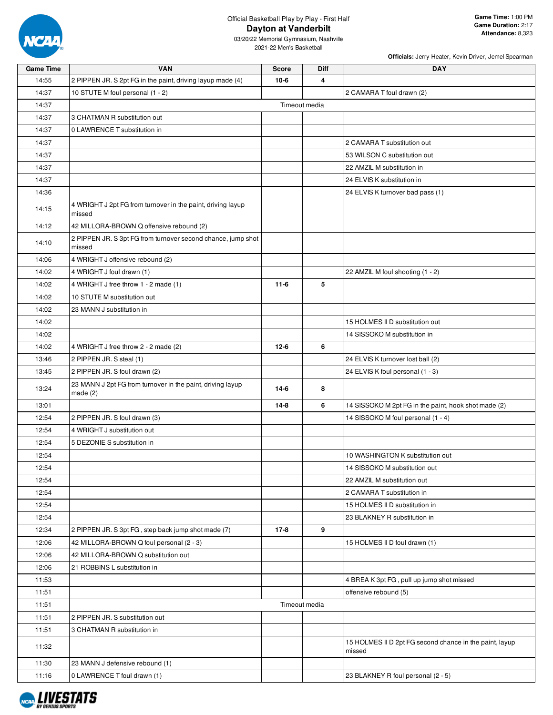

03/20/22 Memorial Gymnasium, Nashville 2021-22 Men's Basketball

| <b>Game Time</b> | <b>VAN</b>                                                               | <b>Score</b> | Diff          | <b>DAY</b>                                                        |
|------------------|--------------------------------------------------------------------------|--------------|---------------|-------------------------------------------------------------------|
| 14:55            | 2 PIPPEN JR. S 2pt FG in the paint, driving layup made (4)               | $10-6$       | 4             |                                                                   |
| 14:37            | 10 STUTE M foul personal (1 - 2)                                         |              |               | 2 CAMARA T foul drawn (2)                                         |
| 14:37            |                                                                          |              | Timeout media |                                                                   |
| 14:37            | 3 CHATMAN R substitution out                                             |              |               |                                                                   |
| 14:37            | 0 LAWRENCE T substitution in                                             |              |               |                                                                   |
| 14:37            |                                                                          |              |               | 2 CAMARA T substitution out                                       |
| 14:37            |                                                                          |              |               | 53 WILSON C substitution out                                      |
| 14:37            |                                                                          |              |               | 22 AMZIL M substitution in                                        |
| 14:37            |                                                                          |              |               | 24 ELVIS K substitution in                                        |
| 14:36            |                                                                          |              |               | 24 ELVIS K turnover bad pass (1)                                  |
| 14:15            | 4 WRIGHT J 2pt FG from turnover in the paint, driving layup<br>missed    |              |               |                                                                   |
| 14:12            | 42 MILLORA-BROWN Q offensive rebound (2)                                 |              |               |                                                                   |
| 14:10            | 2 PIPPEN JR. S 3pt FG from turnover second chance, jump shot<br>missed   |              |               |                                                                   |
| 14:06            | 4 WRIGHT J offensive rebound (2)                                         |              |               |                                                                   |
| 14:02            | 4 WRIGHT J foul drawn (1)                                                |              |               | 22 AMZIL M foul shooting (1 - 2)                                  |
| 14:02            | 4 WRIGHT J free throw 1 - 2 made (1)                                     | $11-6$       | 5             |                                                                   |
| 14:02            | 10 STUTE M substitution out                                              |              |               |                                                                   |
| 14:02            | 23 MANN J substitution in                                                |              |               |                                                                   |
| 14:02            |                                                                          |              |               | 15 HOLMES II D substitution out                                   |
| 14:02            |                                                                          |              |               | 14 SISSOKO M substitution in                                      |
| 14:02            | 4 WRIGHT J free throw 2 - 2 made (2)                                     | $12 - 6$     | 6             |                                                                   |
| 13:46            | 2 PIPPEN JR. S steal (1)                                                 |              |               | 24 ELVIS K turnover lost ball (2)                                 |
| 13:45            | 2 PIPPEN JR. S foul drawn (2)                                            |              |               | 24 ELVIS K foul personal (1 - 3)                                  |
| 13:24            | 23 MANN J 2pt FG from turnover in the paint, driving layup<br>made $(2)$ | $14-6$       | 8             |                                                                   |
| 13:01            |                                                                          | $14 - 8$     | 6             | 14 SISSOKO M 2pt FG in the paint, hook shot made (2)              |
| 12:54            | 2 PIPPEN JR. S foul drawn (3)                                            |              |               | 14 SISSOKO M foul personal (1 - 4)                                |
| 12:54            | 4 WRIGHT J substitution out                                              |              |               |                                                                   |
| 12:54            | 5 DEZONIE S substitution in                                              |              |               |                                                                   |
| 12:54            |                                                                          |              |               | 10 WASHINGTON K substitution out                                  |
| 12:54            |                                                                          |              |               | 14 SISSOKO M substitution out                                     |
| 12:54            |                                                                          |              |               | 22 AMZIL M substitution out                                       |
| 12:54            |                                                                          |              |               | 2 CAMARA T substitution in                                        |
| 12:54            |                                                                          |              |               | 15 HOLMES II D substitution in                                    |
| 12:54            |                                                                          |              |               | 23 BLAKNEY R substitution in                                      |
| 12:34            | 2 PIPPEN JR. S 3pt FG, step back jump shot made (7)                      | $17-8$       | 9             |                                                                   |
| 12:06            | 42 MILLORA-BROWN Q foul personal (2 - 3)                                 |              |               | 15 HOLMES II D foul drawn (1)                                     |
| 12:06            | 42 MILLORA-BROWN Q substitution out                                      |              |               |                                                                   |
| 12:06            | 21 ROBBINS L substitution in                                             |              |               |                                                                   |
| 11:53            |                                                                          |              |               | 4 BREA K 3pt FG, pull up jump shot missed                         |
| 11:51            |                                                                          |              |               | offensive rebound (5)                                             |
| 11:51            |                                                                          |              | Timeout media |                                                                   |
| 11:51            | 2 PIPPEN JR. S substitution out                                          |              |               |                                                                   |
| 11:51            | 3 CHATMAN R substitution in                                              |              |               |                                                                   |
| 11:32            |                                                                          |              |               | 15 HOLMES II D 2pt FG second chance in the paint, layup<br>missed |
| 11:30            | 23 MANN J defensive rebound (1)                                          |              |               |                                                                   |
| 11:16            | 0 LAWRENCE T foul drawn (1)                                              |              |               | 23 BLAKNEY R foul personal (2 - 5)                                |

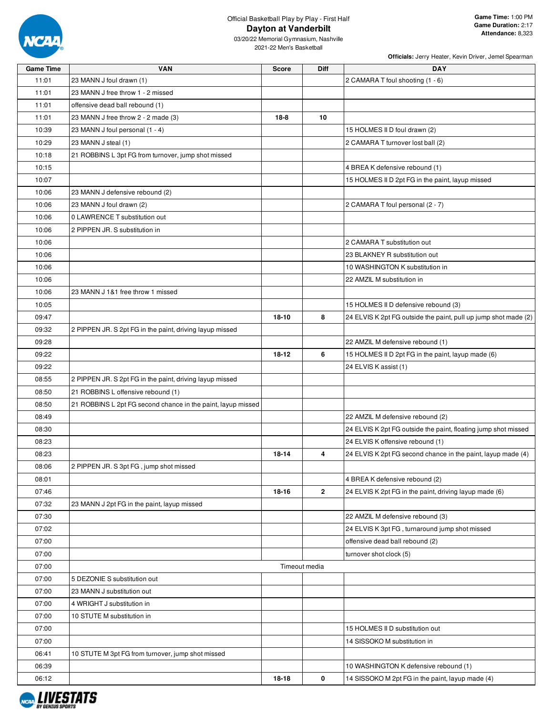

| <b>Game Time</b> | <b>VAN</b>                                                   | <b>Score</b> | Diff           | <b>DAY</b>                                                      |
|------------------|--------------------------------------------------------------|--------------|----------------|-----------------------------------------------------------------|
| 11:01            | 23 MANN J foul drawn (1)                                     |              |                | 2 CAMARA T foul shooting (1 - 6)                                |
| 11:01            | 23 MANN J free throw 1 - 2 missed                            |              |                |                                                                 |
| 11:01            | offensive dead ball rebound (1)                              |              |                |                                                                 |
| 11:01            | 23 MANN J free throw 2 - 2 made (3)                          | 18-8         | 10             |                                                                 |
| 10:39            | 23 MANN J foul personal (1 - 4)                              |              |                | 15 HOLMES II D foul drawn (2)                                   |
| 10:29            | 23 MANN J steal (1)                                          |              |                | 2 CAMARA T turnover lost ball (2)                               |
| 10:18            | 21 ROBBINS L 3pt FG from turnover, jump shot missed          |              |                |                                                                 |
| 10:15            |                                                              |              |                | 4 BREA K defensive rebound (1)                                  |
| 10:07            |                                                              |              |                | 15 HOLMES II D 2pt FG in the paint, layup missed                |
| 10:06            | 23 MANN J defensive rebound (2)                              |              |                |                                                                 |
| 10:06            | 23 MANN J foul drawn (2)                                     |              |                | 2 CAMARA T foul personal (2 - 7)                                |
| 10:06            | 0 LAWRENCE T substitution out                                |              |                |                                                                 |
| 10:06            | 2 PIPPEN JR. S substitution in                               |              |                |                                                                 |
| 10:06            |                                                              |              |                | 2 CAMARA T substitution out                                     |
| 10:06            |                                                              |              |                | 23 BLAKNEY R substitution out                                   |
| 10:06            |                                                              |              |                | 10 WASHINGTON K substitution in                                 |
| 10:06            |                                                              |              |                | 22 AMZIL M substitution in                                      |
| 10:06            | 23 MANN J 1&1 free throw 1 missed                            |              |                |                                                                 |
| 10:05            |                                                              |              |                | 15 HOLMES II D defensive rebound (3)                            |
| 09:47            |                                                              | $18 - 10$    | 8              | 24 ELVIS K 2pt FG outside the paint, pull up jump shot made (2) |
| 09:32            | 2 PIPPEN JR. S 2pt FG in the paint, driving layup missed     |              |                |                                                                 |
| 09:28            |                                                              |              |                | 22 AMZIL M defensive rebound (1)                                |
|                  |                                                              | 18-12        | 6              |                                                                 |
| 09:22            |                                                              |              |                | 15 HOLMES II D 2pt FG in the paint, layup made (6)              |
| 09:22            |                                                              |              |                | 24 ELVIS K assist (1)                                           |
| 08:55            | 2 PIPPEN JR. S 2pt FG in the paint, driving layup missed     |              |                |                                                                 |
| 08:50            | 21 ROBBINS L offensive rebound (1)                           |              |                |                                                                 |
| 08:50            | 21 ROBBINS L 2pt FG second chance in the paint, layup missed |              |                |                                                                 |
| 08:49            |                                                              |              |                | 22 AMZIL M defensive rebound (2)                                |
| 08:30            |                                                              |              |                | 24 ELVIS K 2pt FG outside the paint, floating jump shot missed  |
| 08:23            |                                                              |              |                | 24 ELVIS K offensive rebound (1)                                |
| 08:23            |                                                              | 18-14        | 4              | 24 ELVIS K 2pt FG second chance in the paint, layup made (4)    |
| 08:06            | 2 PIPPEN JR. S 3pt FG, jump shot missed                      |              |                |                                                                 |
| 08:01            |                                                              |              |                | 4 BREA K defensive rebound (2)                                  |
| 07:46            |                                                              | 18-16        | $\overline{2}$ | 24 ELVIS K 2pt FG in the paint, driving layup made (6)          |
| 07:32            | 23 MANN J 2pt FG in the paint, layup missed                  |              |                |                                                                 |
| 07:30            |                                                              |              |                | 22 AMZIL M defensive rebound (3)                                |
| 07:02            |                                                              |              |                | 24 ELVIS K 3pt FG, turnaround jump shot missed                  |
| 07:00            |                                                              |              |                | offensive dead ball rebound (2)                                 |
| 07:00            |                                                              |              |                | turnover shot clock (5)                                         |
| 07:00            |                                                              |              | Timeout media  |                                                                 |
| 07:00            | 5 DEZONIE S substitution out                                 |              |                |                                                                 |
| 07:00            | 23 MANN J substitution out                                   |              |                |                                                                 |
| 07:00            | 4 WRIGHT J substitution in                                   |              |                |                                                                 |
| 07:00            | 10 STUTE M substitution in                                   |              |                |                                                                 |
| 07:00            |                                                              |              |                | 15 HOLMES II D substitution out                                 |
| 07:00            |                                                              |              |                | 14 SISSOKO M substitution in                                    |
| 06:41            | 10 STUTE M 3pt FG from turnover, jump shot missed            |              |                |                                                                 |
| 06:39            |                                                              |              |                | 10 WASHINGTON K defensive rebound (1)                           |
| 06:12            |                                                              | 18-18        | 0              | 14 SISSOKO M 2pt FG in the paint, layup made (4)                |

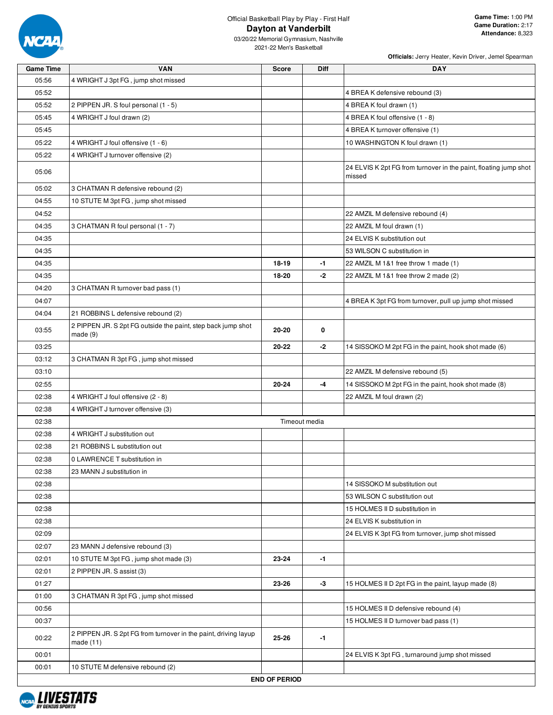

| <b>Game Time</b> | <b>VAN</b>                                                      | <b>Score</b>         | <b>Diff</b>   | <b>DAY</b>                                                                 |
|------------------|-----------------------------------------------------------------|----------------------|---------------|----------------------------------------------------------------------------|
| 05:56            | 4 WRIGHT J 3pt FG, jump shot missed                             |                      |               |                                                                            |
| 05:52            |                                                                 |                      |               | 4 BREA K defensive rebound (3)                                             |
| 05:52            | 2 PIPPEN JR. S foul personal (1 - 5)                            |                      |               | 4 BREA K foul drawn (1)                                                    |
| 05:45            | 4 WRIGHT J foul drawn (2)                                       |                      |               | 4 BREA K foul offensive (1 - 8)                                            |
| 05:45            |                                                                 |                      |               | 4 BREA K turnover offensive (1)                                            |
| 05:22            | 4 WRIGHT J foul offensive (1 - 6)                               |                      |               | 10 WASHINGTON K foul drawn (1)                                             |
| 05:22            | 4 WRIGHT J turnover offensive (2)                               |                      |               |                                                                            |
| 05:06            |                                                                 |                      |               | 24 ELVIS K 2pt FG from turnover in the paint, floating jump shot<br>missed |
| 05:02            | 3 CHATMAN R defensive rebound (2)                               |                      |               |                                                                            |
| 04:55            | 10 STUTE M 3pt FG, jump shot missed                             |                      |               |                                                                            |
| 04:52            |                                                                 |                      |               | 22 AMZIL M defensive rebound (4)                                           |
| 04:35            | 3 CHATMAN R foul personal (1 - 7)                               |                      |               | 22 AMZIL M foul drawn (1)                                                  |
| 04:35            |                                                                 |                      |               | 24 ELVIS K substitution out                                                |
| 04:35            |                                                                 |                      |               | 53 WILSON C substitution in                                                |
| 04:35            |                                                                 | 18-19                | $-1$          | 22 AMZIL M 1&1 free throw 1 made (1)                                       |
| 04:35            |                                                                 | 18-20                | $-2$          | 22 AMZIL M 1&1 free throw 2 made (2)                                       |
| 04:20            | 3 CHATMAN R turnover bad pass (1)                               |                      |               |                                                                            |
| 04:07            |                                                                 |                      |               | 4 BREA K 3pt FG from turnover, pull up jump shot missed                    |
| 04:04            | 21 ROBBINS L defensive rebound (2)                              |                      |               |                                                                            |
|                  | 2 PIPPEN JR. S 2pt FG outside the paint, step back jump shot    |                      |               |                                                                            |
| 03:55            | made(9)                                                         | 20-20                | 0             |                                                                            |
| 03:25            |                                                                 | 20-22                | -2            | 14 SISSOKO M 2pt FG in the paint, hook shot made (6)                       |
| 03:12            | 3 CHATMAN R 3pt FG, jump shot missed                            |                      |               |                                                                            |
| 03:10            |                                                                 |                      |               | 22 AMZIL M defensive rebound (5)                                           |
| 02:55            |                                                                 | $20 - 24$            | $-4$          | 14 SISSOKO M 2pt FG in the paint, hook shot made (8)                       |
| 02:38            | 4 WRIGHT J foul offensive (2 - 8)                               |                      |               | 22 AMZIL M foul drawn (2)                                                  |
| 02:38            | 4 WRIGHT J turnover offensive (3)                               |                      |               |                                                                            |
| 02:38            |                                                                 |                      | Timeout media |                                                                            |
| 02:38            | 4 WRIGHT J substitution out                                     |                      |               |                                                                            |
| 02:38            | 21 ROBBINS L substitution out                                   |                      |               |                                                                            |
| 02:38            | 0 LAWRENCE T substitution in                                    |                      |               |                                                                            |
| 02:38            | 23 MANN J substitution in                                       |                      |               |                                                                            |
| 02:38            |                                                                 |                      |               | 14 SISSOKO M substitution out                                              |
| 02:38            |                                                                 |                      |               | 53 WILSON C substitution out                                               |
| 02:38            |                                                                 |                      |               | 15 HOLMES II D substitution in                                             |
| 02:38            |                                                                 |                      |               | 24 ELVIS K substitution in                                                 |
| 02:09            |                                                                 |                      |               | 24 ELVIS K 3pt FG from turnover, jump shot missed                          |
| 02:07            | 23 MANN J defensive rebound (3)                                 |                      |               |                                                                            |
| 02:01            | 10 STUTE M 3pt FG, jump shot made (3)                           | 23-24                | $-1$          |                                                                            |
| 02:01            | 2 PIPPEN JR. S assist (3)                                       |                      |               |                                                                            |
| 01:27            |                                                                 | 23-26                | $-3$          | 15 HOLMES II D 2pt FG in the paint, layup made (8)                         |
| 01:00            | 3 CHATMAN R 3pt FG, jump shot missed                            |                      |               |                                                                            |
| 00:56            |                                                                 |                      |               | 15 HOLMES II D defensive rebound (4)                                       |
| 00:37            |                                                                 |                      |               | 15 HOLMES II D turnover bad pass (1)                                       |
|                  | 2 PIPPEN JR. S 2pt FG from turnover in the paint, driving layup |                      |               |                                                                            |
| 00:22            | made $(11)$                                                     | 25-26                | $-1$          |                                                                            |
| 00:01            |                                                                 |                      |               | 24 ELVIS K 3pt FG, turnaround jump shot missed                             |
| 00:01            | 10 STUTE M defensive rebound (2)                                |                      |               |                                                                            |
|                  |                                                                 | <b>END OF PERIOD</b> |               |                                                                            |

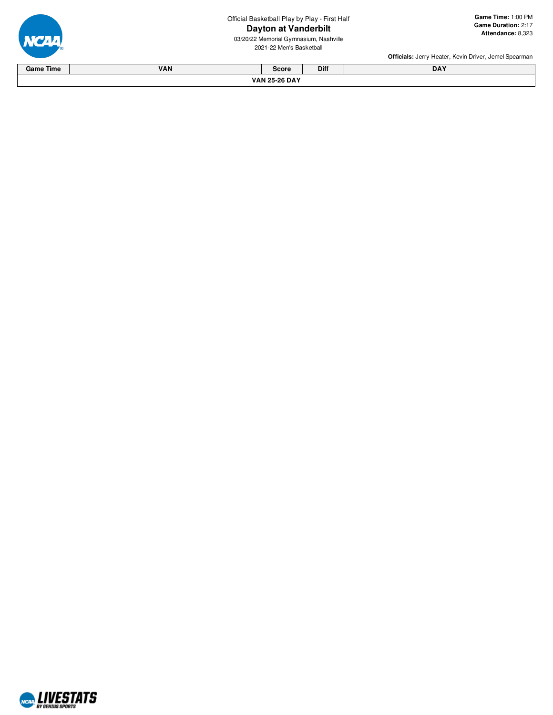Official Basketball Play by Play - First Half

#### **Dayton at Vanderbilt**

03/20/22 Memorial Gymnasium, Nashville 2021-22 Men's Basketba

**a**<br> **bilt** Ga<br>
Nashville<br>
all all **a m e Tim e:** 1:0 0 P M **G a m e D u r a tio n:** 2:1 7 **A tt e n d a n c e:** 8,3 2 3

e

|                  |     |                      |      | <b>Officials:</b> Jerry Heater, Kevin Driver, Jemel Spearman |
|------------------|-----|----------------------|------|--------------------------------------------------------------|
| <b>Game Time</b> | VAN | <b>Score</b>         | Diff | <b>DAY</b>                                                   |
|                  |     | <b>VAN 25-26 DAY</b> |      |                                                              |



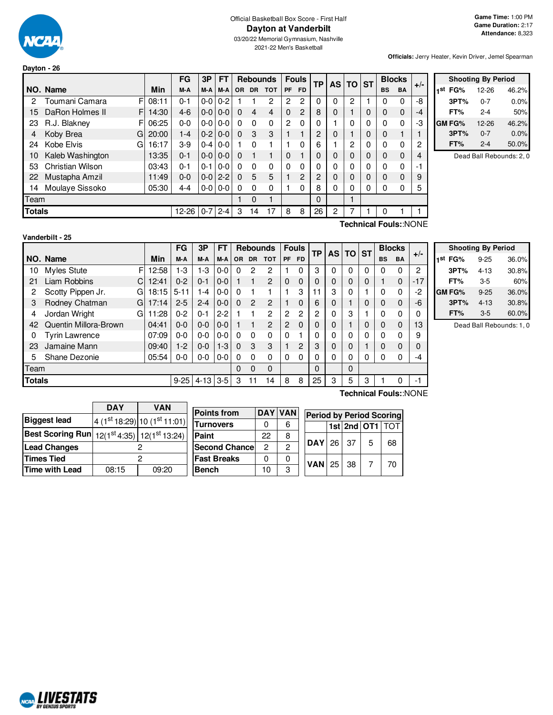

## Official Basketball Box Score - First Half **Dayton at Vanderbilt**

03/20/22 Memorial Gymnasium, Nashville 2021-22 Men's Basketball

**Officials:** Jerry Heater, Kevin Driver, Jemel Spearman

|               |                         |            | FG      | 3P      | <b>FT</b>     |           | <b>Rebounds</b> |            |                | <b>Fouls</b>   | TP | AS TO ST |          |          | <b>Blocks</b> |             | $+/-$ |
|---------------|-------------------------|------------|---------|---------|---------------|-----------|-----------------|------------|----------------|----------------|----|----------|----------|----------|---------------|-------------|-------|
|               | NO. Name                | <b>Min</b> | M-A     | M-A     | M-A           | <b>OR</b> | <b>DR</b>       | <b>TOT</b> | <b>PF</b>      | <b>FD</b>      |    |          |          |          | <b>BS</b>     | <b>BA</b>   |       |
| 2             | Toumani Camara<br>F     | 08:11      | $0 - 1$ | $0-0$   | $0 - 2$       |           |                 | 2          | $\overline{2}$ | 2              | 0  | 0        | 2        |          | 0             | 0           | -8    |
| 15            | DaRon Holmes II<br>F    | 14:30      | $4-6$   | $0-0$   | $0-0$         | $\Omega$  | 4               | 4          | $\Omega$       | 2              | 8  | 0        |          | 0        | $\mathbf 0$   | $\Omega$    | -4    |
| 23            | R.J. Blakney<br>F       | 06:25      | $0 - 0$ | 0-0     | $0 - 0$       | $\Omega$  | $\Omega$        | $\Omega$   | 2              | 0              | 0  |          | 0        | 0        | $\Omega$      | 0           | -3    |
| 4             | Koby Brea<br>G          | 20:00      | $1 - 4$ | $0 - 2$ | $0 - 0$       | $\Omega$  | 3               | 3          |                |                | 2  | 0        |          | 0        | $\mathbf 0$   |             |       |
| 24            | Kobe Elvis<br>G         | 16:17      | $3-9$   | $0 - 4$ | $0 - 0$       |           | $\Omega$        |            |                | 0              | 6  |          | 2        | 0        | 0             | $\mathbf 0$ | 2     |
| 10            | Kaleb Washington        | 13:35      | $0 - 1$ | $0-0$   | $0 - 0$       | $\Omega$  |                 |            | $\Omega$       |                | 0  | 0        | 0        | 0        | $\mathbf 0$   | $\Omega$    | 4     |
| 53            | <b>Christian Wilson</b> | 03:43      | $0 - 1$ | $0 - 1$ | $0 - 0$       | $\Omega$  | $\Omega$        | $\Omega$   | 0              | 0              | 0  | 0        | 0        | 0        | $\Omega$      | 0           | -1    |
| 22            | Mustapha Amzil          | 11:49      | $0 - 0$ | $0-0$   | $2 - 2$       | $\Omega$  | 5               | 5          |                | $\overline{c}$ | 2  | $\Omega$ | 0        | $\Omega$ | $\Omega$      | 0           | 9     |
| 14            | Moulaye Sissoko         | 05:30      | $4 - 4$ |         | $0 - 0$   0-0 | $\Omega$  | $\Omega$        | 0          |                | 0              | 8  | 0        | $\Omega$ | 0        | $\Omega$      | 0           | 5     |
| Team          |                         |            |         |         |               |           | $\Omega$        |            |                |                | 0  |          |          |          |               |             |       |
| <b>Totals</b> |                         |            | 12-26   | $0 - 7$ | $2 - 4$       | 3         | 14              | 17         | 8              | 8              | 26 | 2        |          |          | 0             |             |       |
|               |                         |            |         |         |               |           |                 |            |                |                |    |          |          |          |               |             |       |

|     | <b>Shooting By Period</b> |         |       |  |  |  |  |  |
|-----|---------------------------|---------|-------|--|--|--|--|--|
| 1st | FG%                       | 12-26   | 46.2% |  |  |  |  |  |
|     | 3PT%                      | $0 - 7$ | 0.0%  |  |  |  |  |  |
|     | FT%                       | 2-4     | 50%   |  |  |  |  |  |
|     | <b>GM FG%</b>             | 12-26   | 46.2% |  |  |  |  |  |
|     | 3PT%                      | $0 - 7$ | 0.0%  |  |  |  |  |  |
|     | FT%                       | $2 - 4$ | 50.0% |  |  |  |  |  |

Dead Ball Rebounds: 2, 0

**Technical Fouls:**:NONE

|               |                         |       | <b>FG</b> | 3P       | <b>FT</b> |          |                | <b>Rebounds</b> |                | <b>Fouls</b> | TР             | AS. | <b>TO ST</b> |   |           | <b>Blocks</b> | $+/-$ |
|---------------|-------------------------|-------|-----------|----------|-----------|----------|----------------|-----------------|----------------|--------------|----------------|-----|--------------|---|-----------|---------------|-------|
|               | NO. Name                | Min   | M-A       | M-A      | M-A       | OR.      | <b>DR</b>      | тот             | <b>PF</b>      | <b>FD</b>    |                |     |              |   | <b>BS</b> | BA            |       |
| 10            | <b>Myles Stute</b><br>F | 12:58 | $1-3$     | 1-3      | 0-0       | 0        | 2              | 2               |                | 0            | 3              | 0   | 0            | 0 | 0         | 0             | 2     |
| 21            | Liam Robbins<br>C       | 12:41 | $0 - 2$   | $0 - 1$  | $0 - 0$   |          |                | 2               | $\Omega$       | 0            | 0              | 0   | $\mathbf 0$  | 0 |           | 0             | $-17$ |
| 2             | Scotty Pippen Jr.<br>G  | 18:15 | $5 - 11$  | 1-4      | 0-0       |          |                |                 |                | 3            | 11             | 3   | $\mathbf{0}$ |   | 0         | $\Omega$      | -2    |
| 3             | Rodney Chatman<br>G     | 17:14 | $2 - 5$   | $2 - 4$  | $0-0$     | $\Omega$ | $\overline{c}$ | 2               |                | 0            | 6              | 0   |              | 0 | 0         | 0             | -6    |
| 4             | Jordan Wright<br>G      | 1:28  | $0 - 2$   | $0 - 1$  | $2 - 2$   |          |                | $\mathbf{2}$    | $\overline{c}$ | 2            | $\overline{2}$ | 0   | 3            |   | 0         | $\Omega$      |       |
| 42            | Quentin Millora-Brown   | 04:41 | $0 - 0$   | $0 - 0$  | $0-0$     |          |                | $\overline{2}$  | 2              | 0            | 0              | 0   |              | 0 | 0         | 0             | 13    |
| 0             | <b>Tyrin Lawrence</b>   | 07:09 | $0 - 0$   | $0 - 0$  | 0-0       |          | $\Omega$       | 0               | $\Omega$       |              | 0              | 0   | $\mathbf{0}$ | 0 | 0         | $\Omega$      | 9     |
| 23            | Jamaine Mann            | 09:40 | $1-2$     | $0 - 0$  | $1 - 3$   | $\Omega$ | 3              | 3               |                | 2            | 3              | 0   | $\mathbf 0$  |   | 0         | 0             |       |
| 5             | Shane Dezonie           | 05:54 | $0-0$     | $0 - 0$  | $0-0$     | 0        | $\Omega$       | 0               | $\Omega$       | 0            | 0              | 0   | 0            | 0 | 0         | 0             | -4    |
| Team          |                         |       |           |          |           | $\Omega$ | $\Omega$       | $\Omega$        |                |              | 0              |     | $\Omega$     |   |           |               |       |
| <b>Totals</b> |                         |       | $9 - 25$  | $4 - 13$ | $3-5$     | 3        |                | 14              | 8              | 8            | 25             | 3   | 5            | 3 |           |               | - 1   |

| <b>Shooting By Period</b> |          |       |  |  |  |  |  |
|---------------------------|----------|-------|--|--|--|--|--|
| 1 <sup>st</sup> FG%       | $9 - 25$ | 36.0% |  |  |  |  |  |
| 3PT%                      | $4 - 13$ | 30.8% |  |  |  |  |  |
| FT%                       | 3-5      | 60%   |  |  |  |  |  |
| GM FG%                    | $9 - 25$ | 36.0% |  |  |  |  |  |
| 3PT%                      | $4 - 13$ | 30.8% |  |  |  |  |  |
| FT%                       | $3-5$    | 60.0% |  |  |  |  |  |

Dead Ball Rebounds: 1, 0

|                                                            | <b>DAY</b> | VAN                       |  |  |  |
|------------------------------------------------------------|------------|---------------------------|--|--|--|
| <b>Biggest lead</b>                                        |            | $4(1st18:29)10(1st11:01)$ |  |  |  |
| <b>Best Scoring Run</b> $12(1^{st}4.35)$ $12(1^{st}13.24)$ |            |                           |  |  |  |
| <b>Lead Changes</b>                                        |            |                           |  |  |  |
| <b>Times Tied</b>                                          |            |                           |  |  |  |
| Time with Lead                                             | 08:15      | 09:20                     |  |  |  |

| <b>Points from</b>    |    | <b>DAY VAN</b> |  | <b>Period by Period Scoring</b> |  |  |                     |    |
|-----------------------|----|----------------|--|---------------------------------|--|--|---------------------|----|
| Turnovers             |    | 6              |  |                                 |  |  | 1st $2nd$ OT1 $TOT$ |    |
| Paint                 | 22 | 8              |  |                                 |  |  |                     |    |
| <b>Second Chancel</b> | 2  | 2              |  | $DAY$ 26 $37$                   |  |  | 5                   | 68 |
| <b>Fast Breaks</b>    |    | Ω              |  | $VAN$ 25 38                     |  |  |                     |    |
| <b>Bench</b>          |    | з              |  |                                 |  |  |                     | 70 |

**Technical Fouls:**:NONE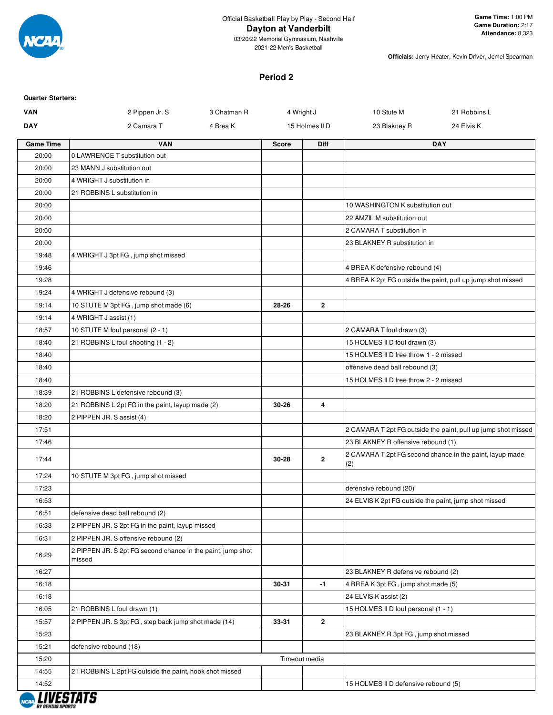

2021-22 Men's Basketball

**Officials:** Jerry Heater, Kevin Driver, Jemel Spearman

#### **Period 2**

| <b>VAN</b>       | 2 Pippen Jr. S                                                        | 3 Chatman R                | 4 Wright J     | 10 Stute M                                            | 21 Robbins L                                                  |
|------------------|-----------------------------------------------------------------------|----------------------------|----------------|-------------------------------------------------------|---------------------------------------------------------------|
| <b>DAY</b>       | 2 Camara T                                                            | 4 Brea K<br>15 Holmes II D |                | 23 Blakney R                                          | 24 Elvis K                                                    |
| <b>Game Time</b> | <b>VAN</b>                                                            | <b>Score</b>               | <b>Diff</b>    |                                                       | <b>DAY</b>                                                    |
| 20:00            | 0 LAWRENCE T substitution out                                         |                            |                |                                                       |                                                               |
| 20:00            | 23 MANN J substitution out                                            |                            |                |                                                       |                                                               |
| 20:00            | 4 WRIGHT J substitution in                                            |                            |                |                                                       |                                                               |
| 20:00            | 21 ROBBINS L substitution in                                          |                            |                |                                                       |                                                               |
| 20:00            |                                                                       |                            |                | 10 WASHINGTON K substitution out                      |                                                               |
| 20:00            |                                                                       |                            |                | 22 AMZIL M substitution out                           |                                                               |
| 20:00            |                                                                       |                            |                | 2 CAMARA T substitution in                            |                                                               |
| 20:00            |                                                                       |                            |                | 23 BLAKNEY R substitution in                          |                                                               |
| 19:48            | 4 WRIGHT J 3pt FG, jump shot missed                                   |                            |                |                                                       |                                                               |
| 19:46            |                                                                       |                            |                | 4 BREA K defensive rebound (4)                        |                                                               |
| 19:28            |                                                                       |                            |                |                                                       | 4 BREA K 2pt FG outside the paint, pull up jump shot missed   |
| 19:24            | 4 WRIGHT J defensive rebound (3)                                      |                            |                |                                                       |                                                               |
| 19:14            | 10 STUTE M 3pt FG, jump shot made (6)                                 | 28-26                      | $\overline{2}$ |                                                       |                                                               |
| 19:14            | 4 WRIGHT J assist (1)                                                 |                            |                |                                                       |                                                               |
| 18:57            | 10 STUTE M foul personal (2 - 1)                                      |                            |                | 2 CAMARA T foul drawn (3)                             |                                                               |
| 18:40            | 21 ROBBINS L foul shooting (1 - 2)                                    |                            |                | 15 HOLMES II D foul drawn (3)                         |                                                               |
| 18:40            |                                                                       |                            |                | 15 HOLMES II D free throw 1 - 2 missed                |                                                               |
| 18:40            |                                                                       |                            |                | offensive dead ball rebound (3)                       |                                                               |
| 18:40            |                                                                       |                            |                | 15 HOLMES II D free throw 2 - 2 missed                |                                                               |
| 18:39            | 21 ROBBINS L defensive rebound (3)                                    |                            |                |                                                       |                                                               |
| 18:20            | 21 ROBBINS L 2pt FG in the paint, layup made (2)                      | 30-26                      | 4              |                                                       |                                                               |
| 18:20            | 2 PIPPEN JR. S assist (4)                                             |                            |                |                                                       |                                                               |
| 17:51            |                                                                       |                            |                |                                                       | 2 CAMARA T 2pt FG outside the paint, pull up jump shot missed |
| 17:46            |                                                                       |                            |                | 23 BLAKNEY R offensive rebound (1)                    |                                                               |
| 17:44            |                                                                       | 30-28                      | $\mathbf{2}$   | (2)                                                   | 2 CAMARA T 2pt FG second chance in the paint, layup made      |
| 17:24            | 10 STUTE M 3pt FG, jump shot missed                                   |                            |                |                                                       |                                                               |
| 17:23            |                                                                       |                            |                | defensive rebound (20)                                |                                                               |
| 16:53            |                                                                       |                            |                | 24 ELVIS K 2pt FG outside the paint, jump shot missed |                                                               |
| 16:51            | defensive dead ball rebound (2)                                       |                            |                |                                                       |                                                               |
| 16:33            | 2 PIPPEN JR. S 2pt FG in the paint, layup missed                      |                            |                |                                                       |                                                               |
| 16:31            | 2 PIPPEN JR. S offensive rebound (2)                                  |                            |                |                                                       |                                                               |
| 16:29            | 2 PIPPEN JR. S 2pt FG second chance in the paint, jump shot<br>missed |                            |                |                                                       |                                                               |
| 16:27            |                                                                       |                            |                | 23 BLAKNEY R defensive rebound (2)                    |                                                               |
| 16:18            |                                                                       | 30-31                      | -1             | 4 BREA K 3pt FG, jump shot made (5)                   |                                                               |
| 16:18            |                                                                       |                            |                | 24 ELVIS K assist (2)                                 |                                                               |
| 16:05            | 21 ROBBINS L foul drawn (1)                                           |                            |                | 15 HOLMES II D foul personal (1 - 1)                  |                                                               |
| 15:57            | 2 PIPPEN JR. S 3pt FG, step back jump shot made (14)                  | 33-31                      | $\overline{2}$ |                                                       |                                                               |
| 15:23            |                                                                       |                            |                | 23 BLAKNEY R 3pt FG, jump shot missed                 |                                                               |
| 15:21            | defensive rebound (18)                                                |                            |                |                                                       |                                                               |
| 15:20            |                                                                       |                            | Timeout media  |                                                       |                                                               |
| 14:55            | 21 ROBBINS L 2pt FG outside the paint, hook shot missed               |                            |                |                                                       |                                                               |
| 14:52            |                                                                       |                            |                | 15 HOLMES II D defensive rebound (5)                  |                                                               |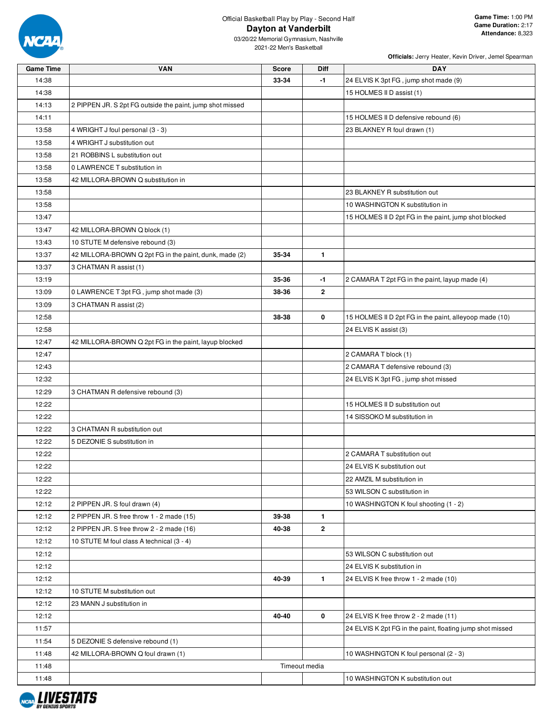

03/20/22 Memorial Gymnasium, Nashville 2021-22 Men's Basketball

| <b>Game Time</b> | <b>VAN</b>                                                | <b>Score</b> | Diff           | <b>DAY</b>                                                |
|------------------|-----------------------------------------------------------|--------------|----------------|-----------------------------------------------------------|
| 14:38            |                                                           | 33-34        | -1             | 24 ELVIS K 3pt FG, jump shot made (9)                     |
| 14:38            |                                                           |              |                | 15 HOLMES II D assist (1)                                 |
| 14:13            | 2 PIPPEN JR. S 2pt FG outside the paint, jump shot missed |              |                |                                                           |
| 14:11            |                                                           |              |                | 15 HOLMES II D defensive rebound (6)                      |
| 13:58            | 4 WRIGHT J foul personal (3 - 3)                          |              |                | 23 BLAKNEY R foul drawn (1)                               |
| 13:58            | 4 WRIGHT J substitution out                               |              |                |                                                           |
| 13:58            | 21 ROBBINS L substitution out                             |              |                |                                                           |
| 13:58            | 0 LAWRENCE T substitution in                              |              |                |                                                           |
| 13:58            | 42 MILLORA-BROWN Q substitution in                        |              |                |                                                           |
| 13:58            |                                                           |              |                | 23 BLAKNEY R substitution out                             |
| 13:58            |                                                           |              |                | 10 WASHINGTON K substitution in                           |
| 13:47            |                                                           |              |                | 15 HOLMES II D 2pt FG in the paint, jump shot blocked     |
| 13:47            | 42 MILLORA-BROWN Q block (1)                              |              |                |                                                           |
| 13:43            | 10 STUTE M defensive rebound (3)                          |              |                |                                                           |
| 13:37            | 42 MILLORA-BROWN Q 2pt FG in the paint, dunk, made (2)    | 35-34        | $\mathbf{1}$   |                                                           |
| 13:37            | 3 CHATMAN R assist (1)                                    |              |                |                                                           |
| 13:19            |                                                           | 35-36        | -1             | 2 CAMARA T 2pt FG in the paint, layup made (4)            |
| 13:09            | 0 LAWRENCE T 3pt FG, jump shot made (3)                   | 38-36        | $\overline{2}$ |                                                           |
| 13:09            | 3 CHATMAN R assist (2)                                    |              |                |                                                           |
| 12:58            |                                                           | 38-38        | 0              | 15 HOLMES II D 2pt FG in the paint, alleyoop made (10)    |
| 12:58            |                                                           |              |                | 24 ELVIS K assist (3)                                     |
| 12:47            | 42 MILLORA-BROWN Q 2pt FG in the paint, layup blocked     |              |                |                                                           |
| 12:47            |                                                           |              |                | 2 CAMARA T block (1)                                      |
| 12:43            |                                                           |              |                | 2 CAMARA T defensive rebound (3)                          |
| 12:32            |                                                           |              |                | 24 ELVIS K 3pt FG, jump shot missed                       |
| 12:29            | 3 CHATMAN R defensive rebound (3)                         |              |                |                                                           |
| 12:22            |                                                           |              |                | 15 HOLMES II D substitution out                           |
| 12:22            |                                                           |              |                | 14 SISSOKO M substitution in                              |
| 12:22            | 3 CHATMAN R substitution out                              |              |                |                                                           |
| 12:22            | 5 DEZONIE S substitution in                               |              |                |                                                           |
| 12:22            |                                                           |              |                | 2 CAMARA T substitution out                               |
| 12:22            |                                                           |              |                | 24 ELVIS K substitution out                               |
| 12:22            |                                                           |              |                | 22 AMZIL M substitution in                                |
| 12:22            |                                                           |              |                | 53 WILSON C substitution in                               |
| 12:12            | 2 PIPPEN JR. S foul drawn (4)                             |              |                | 10 WASHINGTON K foul shooting (1 - 2)                     |
| 12:12            | 2 PIPPEN JR. S free throw 1 - 2 made (15)                 | 39-38        | $\mathbf{1}$   |                                                           |
| 12:12            | 2 PIPPEN JR. S free throw 2 - 2 made (16)                 | 40-38        | $\mathbf{2}$   |                                                           |
| 12:12            | 10 STUTE M foul class A technical (3 - 4)                 |              |                |                                                           |
| 12:12            |                                                           |              |                | 53 WILSON C substitution out                              |
| 12:12            |                                                           |              |                | 24 ELVIS K substitution in                                |
| 12:12            |                                                           | 40-39        | $\mathbf{1}$   | 24 ELVIS K free throw 1 - 2 made (10)                     |
| 12:12            | 10 STUTE M substitution out                               |              |                |                                                           |
| 12:12            | 23 MANN J substitution in                                 |              |                |                                                           |
| 12:12            |                                                           | 40-40        | 0              | 24 ELVIS K free throw 2 - 2 made (11)                     |
| 11:57            |                                                           |              |                | 24 ELVIS K 2pt FG in the paint, floating jump shot missed |
| 11:54            | 5 DEZONIE S defensive rebound (1)                         |              |                |                                                           |
| 11:48            | 42 MILLORA-BROWN Q foul drawn (1)                         |              |                | 10 WASHINGTON K foul personal (2 - 3)                     |
| 11:48            |                                                           |              | Timeout media  |                                                           |
| 11:48            |                                                           |              |                | 10 WASHINGTON K substitution out                          |

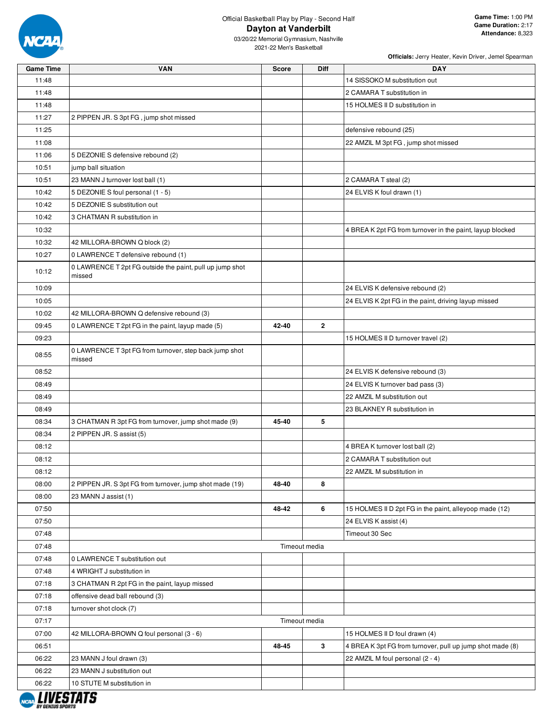

| <b>Game Time</b> | <b>VAN</b>                                                         | <b>Score</b> | Diff           | <b>DAY</b>                                                |
|------------------|--------------------------------------------------------------------|--------------|----------------|-----------------------------------------------------------|
| 11:48            |                                                                    |              |                | 14 SISSOKO M substitution out                             |
| 11:48            |                                                                    |              |                | 2 CAMARA T substitution in                                |
| 11:48            |                                                                    |              |                | 15 HOLMES II D substitution in                            |
| 11:27            | 2 PIPPEN JR. S 3pt FG, jump shot missed                            |              |                |                                                           |
| 11:25            |                                                                    |              |                | defensive rebound (25)                                    |
| 11:08            |                                                                    |              |                | 22 AMZIL M 3pt FG, jump shot missed                       |
| 11:06            | 5 DEZONIE S defensive rebound (2)                                  |              |                |                                                           |
| 10:51            | jump ball situation                                                |              |                |                                                           |
| 10:51            | 23 MANN J turnover lost ball (1)                                   |              |                | 2 CAMARA T steal (2)                                      |
| 10:42            | 5 DEZONIE S foul personal (1 - 5)                                  |              |                | 24 ELVIS K foul drawn (1)                                 |
| 10:42            | 5 DEZONIE S substitution out                                       |              |                |                                                           |
| 10:42            | 3 CHATMAN R substitution in                                        |              |                |                                                           |
| 10:32            |                                                                    |              |                | 4 BREA K 2pt FG from turnover in the paint, layup blocked |
| 10:32            | 42 MILLORA-BROWN Q block (2)                                       |              |                |                                                           |
| 10:27            | 0 LAWRENCE T defensive rebound (1)                                 |              |                |                                                           |
| 10:12            | 0 LAWRENCE T 2pt FG outside the paint, pull up jump shot<br>missed |              |                |                                                           |
| 10:09            |                                                                    |              |                | 24 ELVIS K defensive rebound (2)                          |
| 10:05            |                                                                    |              |                | 24 ELVIS K 2pt FG in the paint, driving layup missed      |
| 10:02            | 42 MILLORA-BROWN Q defensive rebound (3)                           |              |                |                                                           |
| 09:45            | 0 LAWRENCE T 2pt FG in the paint, layup made (5)                   | 42-40        | $\overline{2}$ |                                                           |
| 09:23            |                                                                    |              |                | 15 HOLMES II D turnover travel (2)                        |
| 08:55            | 0 LAWRENCE T 3pt FG from turnover, step back jump shot<br>missed   |              |                |                                                           |
| 08:52            |                                                                    |              |                | 24 ELVIS K defensive rebound (3)                          |
| 08:49            |                                                                    |              |                | 24 ELVIS K turnover bad pass (3)                          |
| 08:49            |                                                                    |              |                | 22 AMZIL M substitution out                               |
| 08:49            |                                                                    |              |                | 23 BLAKNEY R substitution in                              |
| 08:34            | 3 CHATMAN R 3pt FG from turnover, jump shot made (9)               | 45-40        | 5              |                                                           |
| 08:34            | 2 PIPPEN JR. S assist (5)                                          |              |                |                                                           |
| 08:12            |                                                                    |              |                | 4 BREA K turnover lost ball (2)                           |
| 08:12            |                                                                    |              |                | 2 CAMARA T substitution out                               |
| 08:12            |                                                                    |              |                | 22 AMZIL M substitution in                                |
| 08:00            | 2 PIPPEN JR. S 3pt FG from turnover, jump shot made (19)           | 48-40        | 8              |                                                           |
| 08:00            | 23 MANN J assist (1)                                               |              |                |                                                           |
| 07:50            |                                                                    | 48-42        | 6              | 15 HOLMES II D 2pt FG in the paint, alleyoop made (12)    |
| 07:50            |                                                                    |              |                | 24 ELVIS K assist (4)                                     |
| 07:48            |                                                                    |              |                | Timeout 30 Sec                                            |
| 07:48            |                                                                    |              | Timeout media  |                                                           |
| 07:48            | 0 LAWRENCE T substitution out                                      |              |                |                                                           |
| 07:48            | 4 WRIGHT J substitution in                                         |              |                |                                                           |
| 07:18            | 3 CHATMAN R 2pt FG in the paint, layup missed                      |              |                |                                                           |
| 07:18            | offensive dead ball rebound (3)                                    |              |                |                                                           |
| 07:18            | turnover shot clock (7)                                            |              |                |                                                           |
| 07:17            |                                                                    |              | Timeout media  |                                                           |
| 07:00            | 42 MILLORA-BROWN Q foul personal (3 - 6)                           |              |                | 15 HOLMES II D foul drawn (4)                             |
| 06:51            |                                                                    | 48-45        | $\mathbf{3}$   | 4 BREA K 3pt FG from turnover, pull up jump shot made (8) |
| 06:22            | 23 MANN J foul drawn (3)                                           |              |                | 22 AMZIL M foul personal (2 - 4)                          |
| 06:22            | 23 MANN J substitution out                                         |              |                |                                                           |
| 06:22            | 10 STUTE M substitution in                                         |              |                |                                                           |

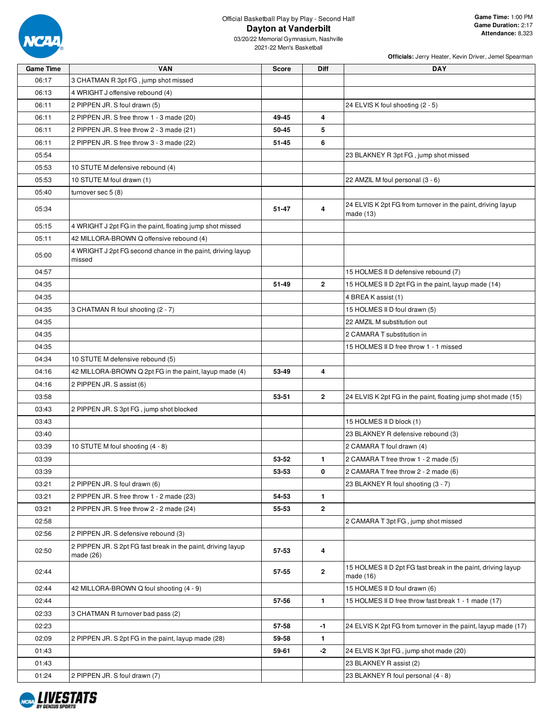

**Officials:** Jerry Heater, Kevin Driver, Jemel Spearman

2021-22 Men's Basketball

| <b>Game Time</b> | <b>VAN</b>                                                                | <b>Score</b> | Diff           | <b>DAY</b>                                                                |
|------------------|---------------------------------------------------------------------------|--------------|----------------|---------------------------------------------------------------------------|
| 06:17            | 3 CHATMAN R 3pt FG, jump shot missed                                      |              |                |                                                                           |
| 06:13            | 4 WRIGHT J offensive rebound (4)                                          |              |                |                                                                           |
| 06:11            | 2 PIPPEN JR. S foul drawn (5)                                             |              |                | 24 ELVIS K foul shooting (2 - 5)                                          |
| 06:11            | 2 PIPPEN JR. S free throw 1 - 3 made (20)                                 | 49-45        | 4              |                                                                           |
| 06:11            | 2 PIPPEN JR. S free throw 2 - 3 made (21)                                 | 50-45        | 5              |                                                                           |
| 06:11            | 2 PIPPEN JR. S free throw 3 - 3 made (22)                                 | 51-45        | 6              |                                                                           |
| 05:54            |                                                                           |              |                | 23 BLAKNEY R 3pt FG, jump shot missed                                     |
| 05:53            | 10 STUTE M defensive rebound (4)                                          |              |                |                                                                           |
| 05:53            | 10 STUTE M foul drawn (1)                                                 |              |                | 22 AMZIL M foul personal (3 - 6)                                          |
| 05:40            | turnover sec 5 (8)                                                        |              |                |                                                                           |
| 05:34            |                                                                           | 51-47        | 4              | 24 ELVIS K 2pt FG from turnover in the paint, driving layup<br>made (13)  |
| 05:15            | 4 WRIGHT J 2pt FG in the paint, floating jump shot missed                 |              |                |                                                                           |
| 05:11            | 42 MILLORA-BROWN Q offensive rebound (4)                                  |              |                |                                                                           |
| 05:00            | 4 WRIGHT J 2pt FG second chance in the paint, driving layup<br>missed     |              |                |                                                                           |
| 04:57            |                                                                           |              |                | 15 HOLMES II D defensive rebound (7)                                      |
| 04:35            |                                                                           | 51-49        | $\overline{2}$ | 15 HOLMES II D 2pt FG in the paint, layup made (14)                       |
| 04:35            |                                                                           |              |                | 4 BREA K assist (1)                                                       |
| 04:35            | 3 CHATMAN R foul shooting (2 - 7)                                         |              |                | 15 HOLMES II D foul drawn (5)                                             |
| 04:35            |                                                                           |              |                | 22 AMZIL M substitution out                                               |
| 04:35            |                                                                           |              |                | 2 CAMARA T substitution in                                                |
| 04:35            |                                                                           |              |                | 15 HOLMES II D free throw 1 - 1 missed                                    |
| 04:34            | 10 STUTE M defensive rebound (5)                                          |              |                |                                                                           |
| 04:16            | 42 MILLORA-BROWN Q 2pt FG in the paint, layup made (4)                    | 53-49        | 4              |                                                                           |
| 04:16            | 2 PIPPEN JR. S assist (6)                                                 |              |                |                                                                           |
| 03:58            |                                                                           | 53-51        | $\mathbf{2}$   | 24 ELVIS K 2pt FG in the paint, floating jump shot made (15)              |
| 03:43            | 2 PIPPEN JR. S 3pt FG, jump shot blocked                                  |              |                |                                                                           |
| 03:43            |                                                                           |              |                | 15 HOLMES II D block (1)                                                  |
| 03:40            |                                                                           |              |                | 23 BLAKNEY R defensive rebound (3)                                        |
| 03:39            | 10 STUTE M foul shooting (4 - 8)                                          |              |                | 2 CAMARA T foul drawn (4)                                                 |
| 03:39            |                                                                           | 53-52        | $\mathbf{1}$   | 2 CAMARA T free throw 1 - 2 made (5)                                      |
| 03:39            |                                                                           | 53-53        | 0              | 2 CAMARA T free throw 2 - 2 made (6)                                      |
| 03:21            | 2 PIPPEN JR. S foul drawn (6)                                             |              |                | 23 BLAKNEY R foul shooting (3 - 7)                                        |
| 03:21            | 2 PIPPEN JR. S free throw 1 - 2 made (23)                                 | 54-53        | $\mathbf{1}$   |                                                                           |
| 03:21            | 2 PIPPEN JR. S free throw 2 - 2 made (24)                                 | 55-53        | $\mathbf{2}$   |                                                                           |
| 02:58            |                                                                           |              |                | 2 CAMARA T 3pt FG, jump shot missed                                       |
| 02:56            | 2 PIPPEN JR. S defensive rebound (3)                                      |              |                |                                                                           |
| 02:50            | 2 PIPPEN JR. S 2pt FG fast break in the paint, driving layup<br>made (26) | 57-53        | 4              |                                                                           |
| 02:44            |                                                                           | 57-55        | $\overline{2}$ | 15 HOLMES II D 2pt FG fast break in the paint, driving layup<br>made (16) |
| 02:44            | 42 MILLORA-BROWN Q foul shooting (4 - 9)                                  |              |                | 15 HOLMES II D foul drawn (6)                                             |
| 02:44            |                                                                           | 57-56        | $\mathbf{1}$   | 15 HOLMES II D free throw fast break 1 - 1 made (17)                      |
| 02:33            | 3 CHATMAN R turnover bad pass (2)                                         |              |                |                                                                           |
| 02:23            |                                                                           | 57-58        | $-1$           | 24 ELVIS K 2pt FG from turnover in the paint, layup made (17)             |
| 02:09            | 2 PIPPEN JR. S 2pt FG in the paint, layup made (28)                       | 59-58        | $\mathbf{1}$   |                                                                           |
| 01:43            |                                                                           | 59-61        | -2             | 24 ELVIS K 3pt FG, jump shot made (20)                                    |
| 01:43            |                                                                           |              |                | 23 BLAKNEY R assist (2)                                                   |
| 01:24            | 2 PIPPEN JR. S foul drawn (7)                                             |              |                | 23 BLAKNEY R foul personal (4 - 8)                                        |

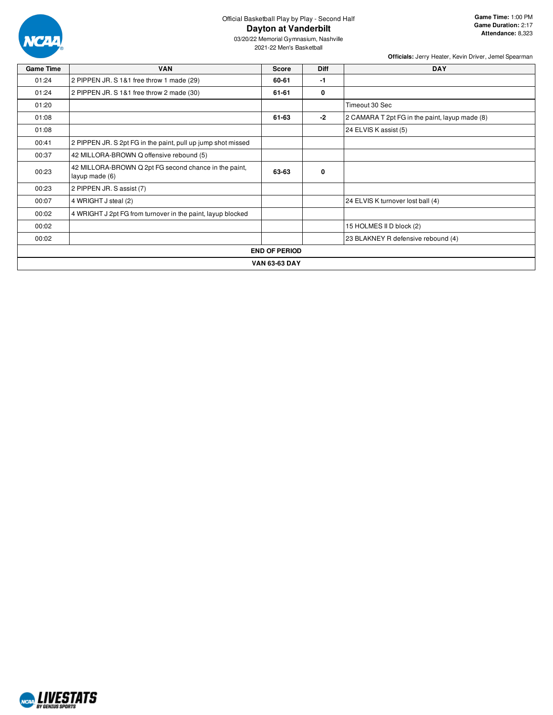

03/20/22 Memorial Gymnasium, Nashville 2021-22 Men's Basketball

| <b>Game Time</b>     | <b>VAN</b>                                                              | <b>Score</b>         | <b>Diff</b> | <b>DAY</b>                                     |  |  |
|----------------------|-------------------------------------------------------------------------|----------------------|-------------|------------------------------------------------|--|--|
| 01:24                | 2 PIPPEN JR. S 1&1 free throw 1 made (29)                               | 60-61                | -1          |                                                |  |  |
| 01:24                | 2 PIPPEN JR. S 1&1 free throw 2 made (30)                               | 61-61                | 0           |                                                |  |  |
| 01:20                |                                                                         |                      |             | Timeout 30 Sec                                 |  |  |
| 01:08                |                                                                         | 61-63                | -2          | 2 CAMARA T 2pt FG in the paint, layup made (8) |  |  |
| 01:08                |                                                                         |                      |             | 24 ELVIS K assist (5)                          |  |  |
| 00:41                | 2 PIPPEN JR. S 2pt FG in the paint, pull up jump shot missed            |                      |             |                                                |  |  |
| 00:37                | 42 MILLORA-BROWN Q offensive rebound (5)                                |                      |             |                                                |  |  |
| 00:23                | 42 MILLORA-BROWN Q 2pt FG second chance in the paint,<br>layup made (6) | 63-63                | 0           |                                                |  |  |
| 00:23                | 2 PIPPEN JR. S assist (7)                                               |                      |             |                                                |  |  |
| 00:07                | 4 WRIGHT J steal (2)                                                    |                      |             | 24 ELVIS K turnover lost ball (4)              |  |  |
| 00:02                | 4 WRIGHT J 2pt FG from turnover in the paint, layup blocked             |                      |             |                                                |  |  |
| 00:02                |                                                                         |                      |             | 15 HOLMES II D block (2)                       |  |  |
| 00:02                |                                                                         |                      |             | 23 BLAKNEY R defensive rebound (4)             |  |  |
|                      |                                                                         | <b>END OF PERIOD</b> |             |                                                |  |  |
| <b>VAN 63-63 DAY</b> |                                                                         |                      |             |                                                |  |  |

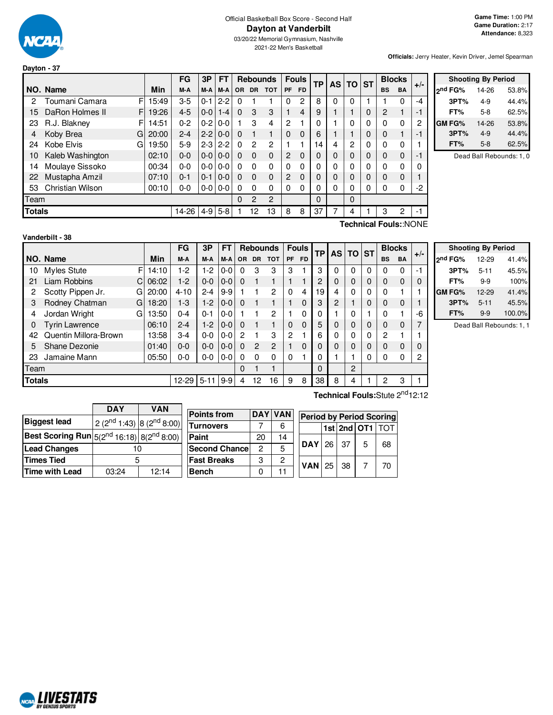

**Dayton - 37**

#### Official Basketball Box Score - Second Half **Dayton at Vanderbilt**

03/20/22 Memorial Gymnasium, Nashville 2021-22 Men's Basketball

**Officials:** Jerry Heater, Kevin Driver, Jemel Spearman

|                                                             |                                     |       | FG      | 3P      | <b>FT</b>     |           |                | <b>Rebounds</b> |                | <b>Fouls</b> | TP | AS I | $TO$ ST |   |                | <b>Blocks</b> | $+/-$                 |
|-------------------------------------------------------------|-------------------------------------|-------|---------|---------|---------------|-----------|----------------|-----------------|----------------|--------------|----|------|---------|---|----------------|---------------|-----------------------|
|                                                             | NO. Name                            | Min   | M-A     | M-A     | M-A           | <b>OR</b> | <b>DR</b>      | <b>TOT</b>      | <b>PF</b>      | <b>FD</b>    |    |      |         |   | <b>BS</b>      | <b>BA</b>     |                       |
| 2                                                           | F<br>Toumani Camara                 | 15:49 | $3-5$   | $0 - 1$ | $2 - 2$       | $\Omega$  |                |                 | $\Omega$       | 2            | 8  | 0    | 0       |   |                | 0             | -4                    |
| 15                                                          | F<br>DaRon Holmes II                | 19:26 | $4 - 5$ | $0-0$   | $1 - 4$       | $\Omega$  | 3              | 3               |                | 4            | 9  |      |         | 0 | $\overline{2}$ | 1             | -1                    |
| 23                                                          | R.J. Blakney<br>F                   | 14:51 | $0 - 2$ | $0 - 2$ | $0-0$         |           | 3              | 4               | 2              |              | 0  |      | 0       | 0 | $\Omega$       | 0             | 2                     |
| 4                                                           | Koby Brea<br>G                      | 20:00 | $2 - 4$ | $2 - 2$ | $0-0$         | $\Omega$  |                | 1               | $\Omega$       | $\Omega$     | 6  |      |         | 0 | $\mathbf 0$    | 1             | -1                    |
| 24                                                          | Kobe Elvis<br>G                     | 19:50 | $5-9$   |         | $2 - 3$ 2 - 2 | $\Omega$  | $\overline{2}$ | $\overline{c}$  |                |              | 14 | 4    | 2       | 0 | $\Omega$       | 0             |                       |
| 10                                                          | Kaleb Washington                    | 02:10 | $0 - 0$ |         | $0 - 0 0 - 0$ | $\Omega$  | $\Omega$       | $\Omega$        | 2              | $\Omega$     | 0  | 0    | 0       | 0 | $\Omega$       | $\Omega$      | -1                    |
| 14                                                          | Moulaye Sissoko                     | 00:34 | $0 - 0$ | $0-0$   | $0-0$         | $\Omega$  | $\Omega$       | $\Omega$        | $\Omega$       | $\Omega$     | 0  | 0    | 0       | 0 | $\mathbf{0}$   | 0             | 0                     |
| 22                                                          | Mustapha Amzil                      | 07:10 | $0 - 1$ | 0-1     | $0-0$         | $\Omega$  | $\Omega$       | $\Omega$        | $\overline{2}$ | $\Omega$     | 0  | 0    | 0       | 0 | $\mathbf 0$    | $\Omega$      |                       |
| Christian Wilson<br>$0 - 0$   0-0<br>53<br>$0 - 0$<br>00:10 |                                     |       |         |         |               |           | $\Omega$       | $\Omega$        | $\Omega$       | 0            | 0  | 0    | 0       | 0 | $\Omega$       | 0             | -2                    |
| Team                                                        |                                     |       |         |         |               |           | $\overline{c}$ | $\overline{c}$  |                |              | 0  |      | 0       |   |                |               |                       |
|                                                             | $4-9$ 5-8<br><b>Totals</b><br>14-26 |       |         |         |               |           |                | 13              | 8              | 8            | 37 |      | 4       |   | 3              | 2             | -1                    |
|                                                             |                                     |       |         |         |               |           |                |                 |                |              |    |      |         |   |                |               | Technical Fouls::NONE |

|         | <b>Shooting By Period</b> |       |
|---------|---------------------------|-------|
| ond FG% | 14-26                     | 53.8% |
| 3PT%    | 4-9                       | 44.4% |
| FT%     | $5-8$                     | 62.5% |
| GM FG%  | 14-26                     | 53.8% |
| 3PT%    | $4 - 9$                   | 44.4% |
| FT%     | $5-8$                     | 62.5% |

Dead Ball Rebounds: 1, 0

**Vanderbilt - 38**

F 14:10 C 06:02 G 20:00 G  $18:20$ G 13:50 **NO.** Name Min **FG 3P FT Rebounds Fouls TP AS TO ST**  $\begin{bmatrix} \mathsf{FG} & \mathsf{3P} & \mathsf{FT} \\ \mathsf{M-A} & \mathsf{M-A} & \mathsf{OR} & \mathsf{DR} & \mathsf{TOT} \end{bmatrix}$   $\begin{bmatrix} \mathsf{Fouls} & \mathsf{TP} & \mathsf{AS} \\ \mathsf{FP} & \mathsf{FD} & \mathsf{AS} \end{bmatrix}$   $\begin{bmatrix} \mathsf{ST} & \mathsf{BlockS} \\ \mathsf{BS} & \mathsf{BA} \end{bmatrix}$  +/-10 Myles Stute F | 14:10 | 1-2 | 1-2 | 0-0 | 0 3 3 | 3 1 | 3 | 0 | 0 | 0 | 0 | 0 | -1 21 Liam Robbins 06:02 1-2 0-0 0-0 0 1 1 1 1 2 0 0 0 0 0 0 2 Scotty Pippen Jr. G 20:00 4-10 2-4 9-9 1 1 2 0 4 19 4 0 0 0 1 1 3 Rodney Chatman G | 18:20 | 1-3 | 1-2 | 0-0 | 0 1 1 | 1 0 | 3 | 2 | 1 | 0 | 0 0 | 1 4 Jordan Wright G | 13:50 | 0-4 | 0-1 | 0-0 | 1 1 2 | 1 0 | 0 | 1 | 0 | 1 | 0 | 1 | -6 0 Tyrin Lawrence 06:10 2-4 1-2 0-0 0 1 1 0 0 5 0 0 0 0 0 7 42 Quentin Millora-Brown | 13:58 | 3-4 | 0-0 | 0-0 | 2 1 3 | 2 1 | 6 | 0 | 0 | 0 | 2 1 | 1 5 Shane Dezonie 01:40 0-0 0-0 0-0 0 2 2 1 0 0 0 0 0 0 0 0 23 Jamaine Mann 05:50 0-0 0-0 0-0 0 0 0 0 1 0 1 1 0 0 0 2 Team | 0 1 1 | | 0 | | 2 **Totals** 12-29 5-11 9-9 4 12 16 9 8 38 8 8 4 1 2 3 1

|                     | <b>Shooting By Period</b> |       |
|---------------------|---------------------------|-------|
| 2 <sup>nd</sup> FG% | 12-29                     | 41.4% |
| 3PT%                | $5 - 11$                  | 45.5% |
| FT%                 | 9-9                       | 100%  |
| GM FG%              | 12-29                     | 41.4% |
| 3PT%                | 5-11                      | 45.5% |

**Technical Fouls:**Stute 2<sup>nd</sup>12:12

**FT%** 9-9 100.0% Dead Ball Rebounds: 1, 1

|                                                                                            | <b>DAY</b>                       | VAN   |                      |    |                |                                 |     |   |                      |
|--------------------------------------------------------------------------------------------|----------------------------------|-------|----------------------|----|----------------|---------------------------------|-----|---|----------------------|
|                                                                                            |                                  |       | <b>Points from</b>   |    | <b>DAY VAN</b> | <b>Period by Period Scoring</b> |     |   |                      |
| <b>Biggest lead</b>                                                                        | $2(2^{nd}1:43)$ 8 $(2^{nd}8:00)$ |       | <b>Turnovers</b>     |    | 6              |                                 |     |   |                      |
|                                                                                            |                                  |       |                      |    |                |                                 |     |   | $list$ 2nd OT1 $TOT$ |
| Best Scoring Run $\left 5(2^{\text{nd}}\,16:18)\right 8(2^{\text{nd}}\,8:00)$ $^{\dagger}$ |                                  |       | Paint                | 20 | 14             |                                 |     |   |                      |
| <b>Lead Changes</b>                                                                        | 10                               |       | <b>Second Chance</b> | ◠  | 5              | <b>DAY</b> 26                   | -37 | 5 | 68                   |
| Times Tied                                                                                 |                                  |       | <b>Fast Breaks</b>   | 3  | ◠              | $VAN$ 25                        | 38  |   | 70                   |
| Time with Lead                                                                             | 03:24                            | 12:14 | <b>Bench</b>         |    |                |                                 |     |   |                      |

**ARALIVESTATS RV GENTUS S**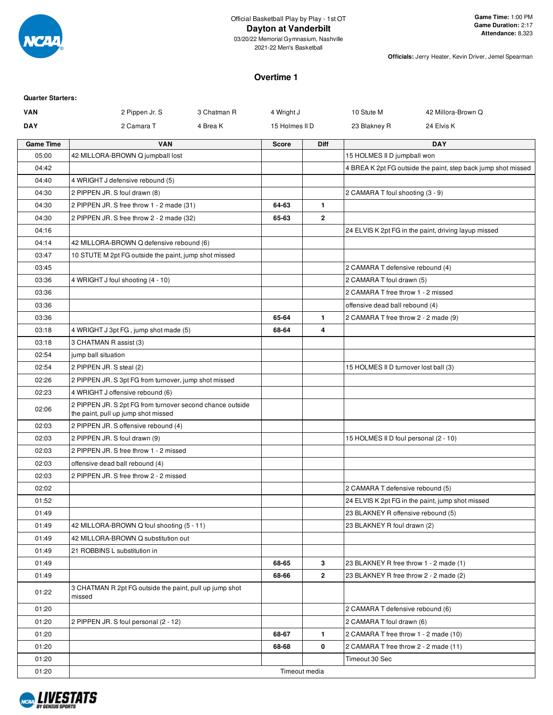

03/20/22 Memorial Gymnasium, Nashville 2021-22 Men's Basketball

**Officials:** Jerry Heater, Kevin Driver, Jemel Spearman

#### **Overtime 1**

| <b>Quarter Starters:</b> |                                                                                                  |             |                |                |                                        |                                                               |
|--------------------------|--------------------------------------------------------------------------------------------------|-------------|----------------|----------------|----------------------------------------|---------------------------------------------------------------|
| <b>VAN</b>               | 2 Pippen Jr. S                                                                                   | 3 Chatman R | 4 Wright J     |                | 10 Stute M                             | 42 Millora-Brown Q                                            |
| <b>DAY</b>               | 2 Camara T                                                                                       | 4 Brea K    | 15 Holmes II D |                | 23 Blakney R                           | 24 Elvis K                                                    |
| <b>Game Time</b>         | <b>VAN</b>                                                                                       |             | <b>Score</b>   | <b>Diff</b>    |                                        | <b>DAY</b>                                                    |
| 05:00                    | 42 MILLORA-BROWN Q jumpball lost                                                                 |             |                |                | 15 HOLMES II D jumpball won            |                                                               |
| 04:42                    |                                                                                                  |             |                |                |                                        | 4 BREA K 2pt FG outside the paint, step back jump shot missed |
| 04:40                    | 4 WRIGHT J defensive rebound (5)                                                                 |             |                |                |                                        |                                                               |
| 04:30                    | 2 PIPPEN JR. S foul drawn (8)                                                                    |             |                |                | 2 CAMARA T foul shooting (3 - 9)       |                                                               |
| 04:30                    | 2 PIPPEN JR. S free throw 1 - 2 made (31)                                                        |             | 64-63          | $\mathbf{1}$   |                                        |                                                               |
| 04:30                    | 2 PIPPEN JR. S free throw 2 - 2 made (32)                                                        |             | 65-63          | $\overline{2}$ |                                        |                                                               |
| 04:16                    |                                                                                                  |             |                |                |                                        | 24 ELVIS K 2pt FG in the paint, driving layup missed          |
| 04:14                    | 42 MILLORA-BROWN Q defensive rebound (6)                                                         |             |                |                |                                        |                                                               |
| 03:47                    | 10 STUTE M 2pt FG outside the paint, jump shot missed                                            |             |                |                |                                        |                                                               |
| 03:45                    |                                                                                                  |             |                |                | 2 CAMARA T defensive rebound (4)       |                                                               |
| 03:36                    | 4 WRIGHT J foul shooting (4 - 10)                                                                |             |                |                | 2 CAMARA T foul drawn (5)              |                                                               |
| 03:36                    |                                                                                                  |             |                |                | 2 CAMARA T free throw 1 - 2 missed     |                                                               |
| 03:36                    |                                                                                                  |             |                |                | offensive dead ball rebound (4)        |                                                               |
| 03:36                    |                                                                                                  |             | 65-64          | $\mathbf{1}$   | 2 CAMARA T free throw 2 - 2 made (9)   |                                                               |
| 03:18                    | 4 WRIGHT J 3pt FG, jump shot made (5)                                                            |             | 68-64          | 4              |                                        |                                                               |
| 03:18                    | 3 CHATMAN R assist (3)                                                                           |             |                |                |                                        |                                                               |
| 02:54                    | jump ball situation                                                                              |             |                |                |                                        |                                                               |
| 02:54                    | 2 PIPPEN JR. S steal (2)                                                                         |             |                |                | 15 HOLMES II D turnover lost ball (3)  |                                                               |
| 02:26                    | 2 PIPPEN JR. S 3pt FG from turnover, jump shot missed                                            |             |                |                |                                        |                                                               |
| 02:23                    | 4 WRIGHT J offensive rebound (6)                                                                 |             |                |                |                                        |                                                               |
| 02:06                    | 2 PIPPEN JR. S 2pt FG from turnover second chance outside<br>the paint, pull up jump shot missed |             |                |                |                                        |                                                               |
| 02:03                    | 2 PIPPEN JR. S offensive rebound (4)                                                             |             |                |                |                                        |                                                               |
| 02:03                    | 2 PIPPEN JR. S foul drawn (9)                                                                    |             |                |                | 15 HOLMES II D foul personal (2 - 10)  |                                                               |
| 02:03                    | 2 PIPPEN JR. S free throw 1 - 2 missed                                                           |             |                |                |                                        |                                                               |
| 02:03                    | offensive dead ball rebound (4)                                                                  |             |                |                |                                        |                                                               |
| 02:03                    | 2 PIPPEN JR. S free throw 2 - 2 missed                                                           |             |                |                |                                        |                                                               |
| 02:02                    |                                                                                                  |             |                |                | 2 CAMARA T defensive rebound (5)       |                                                               |
| 01:52                    |                                                                                                  |             |                |                |                                        | 24 ELVIS K 2pt FG in the paint, jump shot missed              |
| 01:49                    |                                                                                                  |             |                |                | 23 BLAKNEY R offensive rebound (5)     |                                                               |
| 01:49                    | 42 MILLORA-BROWN Q foul shooting (5 - 11)                                                        |             |                |                | 23 BLAKNEY R foul drawn (2)            |                                                               |
| 01:49                    | 42 MILLORA-BROWN Q substitution out                                                              |             |                |                |                                        |                                                               |
| 01:49                    | 21 ROBBINS L substitution in                                                                     |             |                |                |                                        |                                                               |
| 01:49                    |                                                                                                  |             | 68-65          | 3              | 23 BLAKNEY R free throw 1 - 2 made (1) |                                                               |
| 01:49                    |                                                                                                  |             | 68-66          | $\overline{2}$ | 23 BLAKNEY R free throw 2 - 2 made (2) |                                                               |
| 01:22                    | 3 CHATMAN R 2pt FG outside the paint, pull up jump shot<br>missed                                |             |                |                |                                        |                                                               |
| 01:20                    |                                                                                                  |             |                |                | 2 CAMARA T defensive rebound (6)       |                                                               |
| 01:20                    | 2 PIPPEN JR. S foul personal (2 - 12)                                                            |             |                |                | 2 CAMARA T foul drawn (6)              |                                                               |
| 01:20                    |                                                                                                  |             | 68-67          | $\blacksquare$ | 2 CAMARA T free throw 1 - 2 made (10)  |                                                               |
| 01:20                    |                                                                                                  |             | 68-68          | 0              | 2 CAMARA T free throw 2 - 2 made (11)  |                                                               |
| 01:20                    |                                                                                                  |             |                |                | Timeout 30 Sec                         |                                                               |
| 01:20                    |                                                                                                  |             |                | Timeout media  |                                        |                                                               |

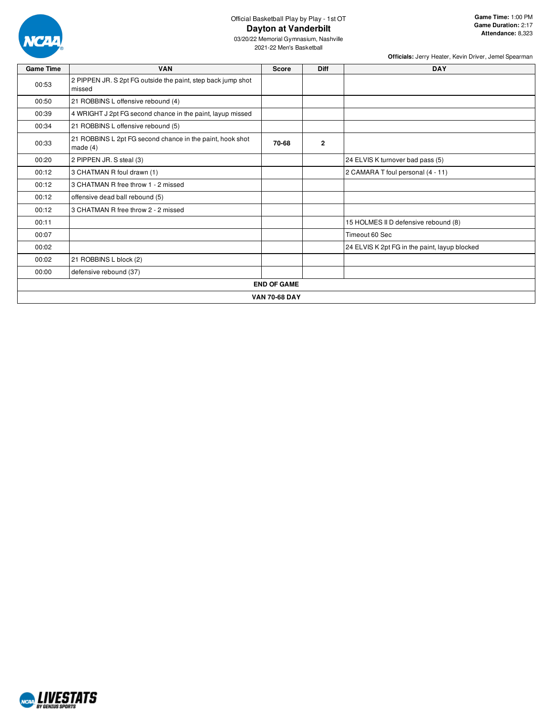

03/20/22 Memorial Gymnasium, Nashville 2021-22 Men's Basketball

| <b>Game Time</b> | <b>VAN</b>                                                              | <b>Score</b>         | Diff         | <b>DAY</b>                                    |  |  |  |  |  |  |  |  |  |
|------------------|-------------------------------------------------------------------------|----------------------|--------------|-----------------------------------------------|--|--|--|--|--|--|--|--|--|
| 00:53            | 2 PIPPEN JR. S 2pt FG outside the paint, step back jump shot<br>missed  |                      |              |                                               |  |  |  |  |  |  |  |  |  |
| 00:50            | 21 ROBBINS L offensive rebound (4)                                      |                      |              |                                               |  |  |  |  |  |  |  |  |  |
| 00:39            | 4 WRIGHT J 2pt FG second chance in the paint, layup missed              |                      |              |                                               |  |  |  |  |  |  |  |  |  |
| 00:34            | 21 ROBBINS L offensive rebound (5)                                      |                      |              |                                               |  |  |  |  |  |  |  |  |  |
| 00:33            | 21 ROBBINS L 2pt FG second chance in the paint, hook shot<br>made $(4)$ | 70-68                | $\mathbf{2}$ |                                               |  |  |  |  |  |  |  |  |  |
| 00:20            | 2 PIPPEN JR. S steal (3)                                                |                      |              | 24 ELVIS K turnover bad pass (5)              |  |  |  |  |  |  |  |  |  |
| 00:12            | 3 CHATMAN R foul drawn (1)                                              |                      |              | 2 CAMARA T foul personal (4 - 11)             |  |  |  |  |  |  |  |  |  |
| 00:12            | 3 CHATMAN R free throw 1 - 2 missed                                     |                      |              |                                               |  |  |  |  |  |  |  |  |  |
| 00:12            | offensive dead ball rebound (5)                                         |                      |              |                                               |  |  |  |  |  |  |  |  |  |
| 00:12            | 3 CHATMAN R free throw 2 - 2 missed                                     |                      |              |                                               |  |  |  |  |  |  |  |  |  |
| 00:11            |                                                                         |                      |              | 15 HOLMES II D defensive rebound (8)          |  |  |  |  |  |  |  |  |  |
| 00:07            |                                                                         |                      |              | Timeout 60 Sec                                |  |  |  |  |  |  |  |  |  |
| 00:02            |                                                                         |                      |              | 24 ELVIS K 2pt FG in the paint, layup blocked |  |  |  |  |  |  |  |  |  |
| 00:02            | 21 ROBBINS L block (2)                                                  |                      |              |                                               |  |  |  |  |  |  |  |  |  |
| 00:00            | defensive rebound (37)                                                  |                      |              |                                               |  |  |  |  |  |  |  |  |  |
|                  |                                                                         | <b>END OF GAME</b>   |              |                                               |  |  |  |  |  |  |  |  |  |
|                  |                                                                         | <b>VAN 70-68 DAY</b> |              |                                               |  |  |  |  |  |  |  |  |  |

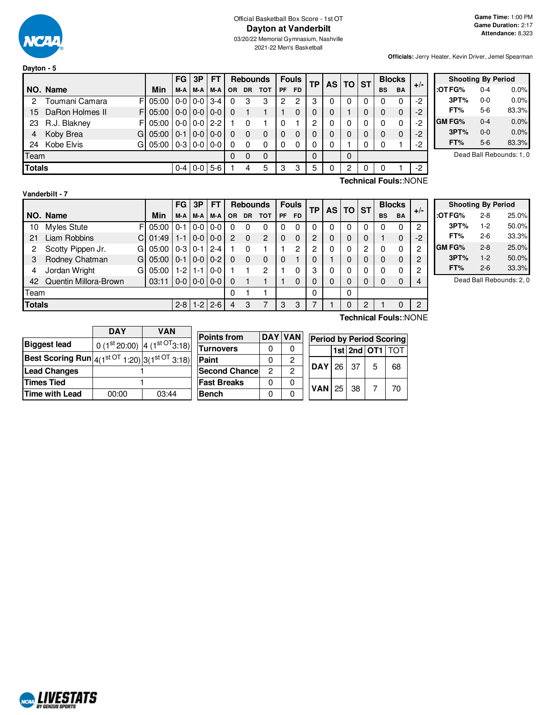

03/20/22 Memorial Gymnasium, Nashville 2021-22 Men's Basketball

**Officials:** Jerry Heater, Kevin Driver, Jemel Spearman

| Dayton - 5    |                  |            |           |               |                     |           |           |                 |    |              |    |          |                       |             |               |           |       |                           |         |                          |
|---------------|------------------|------------|-----------|---------------|---------------------|-----------|-----------|-----------------|----|--------------|----|----------|-----------------------|-------------|---------------|-----------|-------|---------------------------|---------|--------------------------|
|               |                  |            | <b>FG</b> | 3P            | FT                  |           |           | <b>Rebounds</b> |    | <b>Fouls</b> | TP |          | AS   TO   ST          |             | <b>Blocks</b> |           |       | <b>Shooting By Period</b> |         |                          |
|               | NO. Name         | Min        | M-A       | M-A           | M-A                 | <b>OR</b> | <b>DR</b> | <b>TOT</b>      | PF | <b>FD</b>    |    |          |                       |             | <b>BS</b>     | <b>BA</b> | $+/-$ | :OT FG%                   | $0 - 4$ | 0.0%                     |
|               | Toumani Camara   | 05:00      | $0-0$     |               | $0-0$ 3-4           | 0         | 3         | 3               | 2  | 2            | 3  |          | $\Omega$              | $\Omega$    |               |           | -2    | 3PT%                      | $0-0$   | 0.0%                     |
| 15            | DaRon Holmes II  | F<br>05:00 |           |               | $0 - 0 0 - 0 0 - 0$ |           |           |                 |    | 0            | 0  | $\Omega$ |                       | 0           | $\Omega$      | $\Omega$  | -2    | FT%                       | $5-6$   | 83.3%                    |
| 23            | R.J. Blakney     | 05:00<br>F |           | $0 - 0 0 - 0$ | $2 - 2$             |           | 0         |                 |    |              | 2  | $\Omega$ | $\Omega$              | $\Omega$    | 0             | 0         | $-2$  | <b>GM FG%</b>             | $0 - 4$ | 0.0%                     |
| 4             | Koby Brea<br>G   | 05:00      | $0 - 1$   | $0-0$         | $0-0$               | 0         | 0         | $\Omega$        | 0  | 0            |    | $\Omega$ | $\Omega$              | $\mathbf 0$ | $\Omega$      | $\Omega$  | $-2$  | 3PT%                      | $0-0$   | 0.0%                     |
| 24            | Kobe Elvis<br>GI | 05:00      |           |               | $0-3$   0-0   0-0   | 0         | 0         | 0               |    | 0            | 0  | 0        |                       | $\Omega$    |               |           | -2    | FT%                       | $5-6$   | 83.3%                    |
|               | Team             |            |           |               |                     |           |           | $\Omega$        |    |              | 0  |          | $\Omega$              |             |               |           |       |                           |         | Dead Ball Rebounds: 1, 0 |
| <b>Totals</b> |                  |            |           |               | $0-4$ 0-0 5-6       |           | 4         | 5               | З  | 3            | 5  |          | 2                     | 0           |               |           | -2    |                           |         |                          |
|               |                  |            |           |               |                     |           |           |                 |    |              |    |          | Technical Fouls::NONE |             |               |           |       |                           |         |                          |

#### **Vanderbilt - 7**

|      |                         |       | <b>FG</b> | 3P      | FT            |           |           | <b>Rebounds</b> |          | <b>Fouls</b> | ТP       | <b>AS</b> | TO       | <b>ST</b> |           | <b>Blocks</b> | $+/-$          |
|------|-------------------------|-------|-----------|---------|---------------|-----------|-----------|-----------------|----------|--------------|----------|-----------|----------|-----------|-----------|---------------|----------------|
|      | NO. Name                | Min   | M-A       | M-A     | M-A           | <b>OR</b> | <b>DR</b> | <b>TOT</b>      | PF       | <b>FD</b>    |          |           |          |           | <b>BS</b> | <b>BA</b>     |                |
| 10   | Myles Stute<br>FI       | 05:00 | $0 - 1$   | $0-0$   | $0-0$         | 0         | 0         | 0               | 0        | 0            | 0        | 0         | 0        | 0         | O         | 0             | 2              |
| 21   | Liam Robbins            | 01:49 | $1 - 1$   | $0 - 0$ | $ 0-0 $       | 2         | $\Omega$  | 2               | $\Omega$ | 0            | 2        | 0         | $\Omega$ | 0         |           | 0             | $-2$           |
| 2    | Scotty Pippen Jr.<br>GI | 05:00 | $0-3$     | $0 - 1$ | $12-4$        |           | 0         |                 |          | 2            | 2        | 0         | 0        | 2         | 0         | 0             | 2              |
| 3    | Rodney Chatman<br>GI    | 05:00 | $0 - 1$   | $0 - 0$ | $10-2$        | 0         | $\Omega$  | 0               | 0        |              | 0        |           | 0        | 0         | O         | $\mathbf 0$   | $\overline{2}$ |
| 4    | Jordan Wright<br>GI     | 05:00 | $1-2$     | $1 - 1$ | $0-0$         |           |           | 2               |          | 0            | 3        | 0         | 0        | 0         |           | 0             | $\overline{c}$ |
| 42   | Quentin Millora-Brown   | 03:11 | $0-0$     |         | $0 - 0 0 - 0$ | 0         |           |                 |          | 0            | 0        | 0         | 0        | 0         |           | 0             | 4              |
| Team |                         |       |           |         |               | 0         |           |                 |          |              | $\Omega$ |           | 0        |           |           |               |                |
|      | <b>Totals</b>           |       |           | $1-2$   | $2 - 6$       | 4         | 3         |                 | 3        | 3            |          |           | 0        | 2         |           | 0             | $\overline{2}$ |

**Shooting By Period :OT FG%** 2-8 25.0% **3PT%** 1-2 50.0% **FT%** 2-6 33.3% **GM FG%** 2-8 25.0% **3PT%** 1-2 50.0% **FT%** 2-6 33.3%

Dead Ball Rebounds: 2, 0

|                                                                             | <b>DAY</b> | <b>VAN</b>                                        |  |
|-----------------------------------------------------------------------------|------------|---------------------------------------------------|--|
| <b>Biggest lead</b>                                                         |            | 0 (1st 20:00) $\left  4 \right. (1^{st}$ OT 3:18) |  |
| <b>Best Scoring Run</b> $ 4(1^{\text{st OT}}1:20) 3(1^{\text{st OT}}3:18) $ |            |                                                   |  |
| <b>Lead Changes</b>                                                         |            |                                                   |  |
| <b>Times Tied</b>                                                           |            |                                                   |  |
| <b>Time with Lead</b>                                                       | 00:00      | 03:44                                             |  |

| <b>Points from</b>    |   | DAY VAN        | e |
|-----------------------|---|----------------|---|
| <b>Turnovers</b>      | 0 | 0              |   |
| Paint                 | 0 | 2              |   |
| <b>Second Chancel</b> | 2 | $\overline{2}$ |   |
| <b>Fast Breaks</b>    | 0 | 0              | 7 |
| <b>Bench</b>          | 0 | ი              |   |

**Technical Fouls:**:NONE

| <b>Period by Period Scoring</b> |     |                 |    |
|---------------------------------|-----|-----------------|----|
|                                 |     | 1st 2nd OT1 TOT |    |
| $DAY$ 26                        | -37 | 5               | 68 |
| $VAN$ 25                        | 38  |                 | 70 |

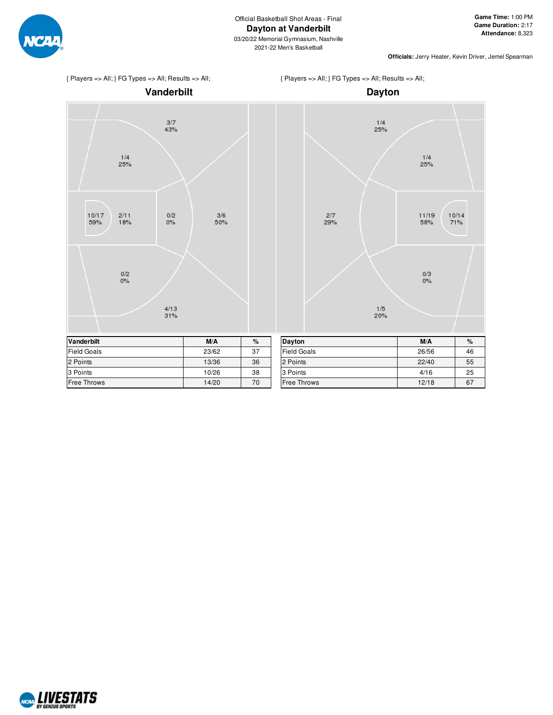

**Officials:** Jerry Heater, Kevin Driver, Jemel Spearman







{ Players => All; } FG Types => All; Results => All;

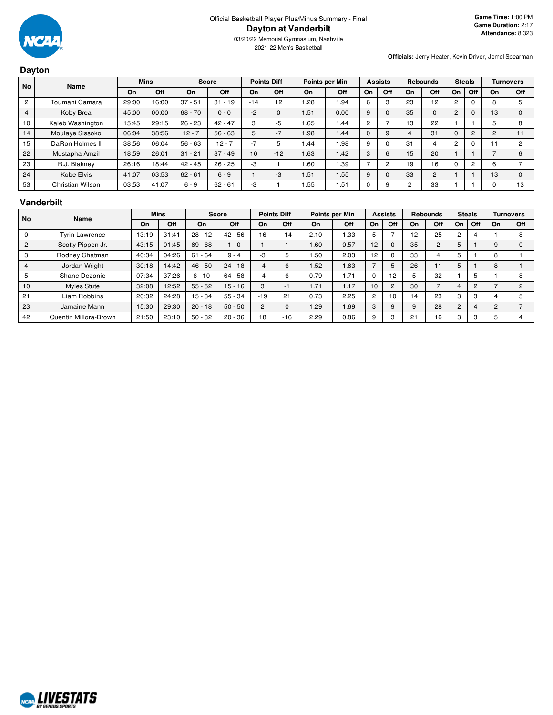

2021-22 Men's Basketball

#### **Dayton**

**Officials:** Jerry Heater, Kevin Driver, Jemel Spearman

| <b>No</b>      | Name             | <b>Mins</b> |       |           | <b>Points Diff</b><br><b>Score</b> |                 | Points per Min |      |       | <b>Assists</b> |     | <b>Rebounds</b> |     | <b>Steals</b>  |     |    | <b>Turnovers</b> |
|----------------|------------------|-------------|-------|-----------|------------------------------------|-----------------|----------------|------|-------|----------------|-----|-----------------|-----|----------------|-----|----|------------------|
|                |                  | On          | Off   | On        | Off                                | On              | Off            | On   | Off   | On             | Off | On              | Off | On             | Off | On | Off              |
| $\overline{c}$ | Toumani Camara   | 29:00       | 6:00  | $37 - 51$ | $31 - 19$                          | $-14$           | 12             | .28  | 94. ا | 6              | -1  | 23              | 12  | $\overline{c}$ |     | 8  | 5                |
| 4              | Koby Brea        | 45:00       | 00:00 | $68 - 70$ | $0 - 0$                            | $-2$            | $\Omega$       | 1.51 | 0.00  | 9              |     | 35              | 0   | $\overline{2}$ |     | 13 | 0                |
| 10             | Kaleb Washington | 15:45       | 29:15 | $26 - 23$ | $42 - 47$                          | 3               | -5             | 1.65 | 1.44  | 2              |     | 13              | 22  |                |     |    | 8                |
| 14             | Moulaye Sissoko  | 06:04       | 38:56 | $12 - 7$  | $56 - 63$                          | 5               | $-7$           | 98.  | 1.44  | 0              |     | 4               | 31  | $\Omega$       | 2   | C  | 11               |
| 15             | DaRon Holmes II  | 38:56       | 06:04 | $56 - 63$ | $12 - 7$                           | $-7$            | 5              | .44  | .98   | 9              |     | 31              |     | $\overline{c}$ |     |    | 2                |
| 22             | Mustapha Amzil   | 18:59       | 26:01 | $31 - 21$ | $37 - 49$                          | 10 <sup>1</sup> | $-12$          | 1.63 | 1.42  | 3              | 6   | 15              | 20  |                |     |    | 6                |
| 23             | R.J. Blakney     | 26:16       | 8:44  | $42 - 45$ | $26 - 25$                          | -3              |                | .60  | .39   |                |     | 19              | 16  |                |     | 6  |                  |
| 24             | Kobe Elvis       | 41:07       | 03:53 | $62 - 61$ | $6 - 9$                            |                 | $-3$           | 1.51 | 1.55  | 9              |     | 33              | 2   |                |     | 13 | $\Omega$         |
| 53             | Christian Wilson | 03:53       | 41:07 | $6 - 9$   | $62 - 61$                          | -3              |                | .55  | 1.51  | 0              |     | $\overline{2}$  | 33  |                |     |    | 13               |

#### **Vanderbilt**

| <b>No</b>      | <b>Name</b>           | <b>Mins</b> |       |           | <b>Points Diff</b><br>Score<br>Points per Min |       |       |      |      |    | <b>Assists</b> |    |     | <b>Rebounds</b> |                | <b>Steals</b> |               | <b>Turnovers</b> |
|----------------|-----------------------|-------------|-------|-----------|-----------------------------------------------|-------|-------|------|------|----|----------------|----|-----|-----------------|----------------|---------------|---------------|------------------|
|                |                       | On          | Off   | On        | <b>Off</b>                                    | On    | Off   | On   | Off  | On | Off            | On | Off | On              | Off            | On            | Off           |                  |
| 0              | <b>Tyrin Lawrence</b> | 13:19       | 31:41 | $28 - 12$ | $42 - 56$                                     | 16    | $-14$ | 2.10 | l 33 | 5  |                | 12 | 25  |                 |                |               | 8             |                  |
| $\overline{2}$ | Scotty Pippen Jr.     | 43:15       | 01:45 | $69 - 68$ | $-0$                                          |       |       | .60  | 0.57 | 12 | $\Omega$       | 35 |     | $\mathbf b$     |                | 9             |               |                  |
| 3              | Rodney Chatman        | 40:34       | 04:26 | $61 - 64$ | $9 - 4$                                       | -3    |       | .50  | 2.03 | 12 | $\Omega$       | 33 |     |                 |                | 8             |               |                  |
| $\overline{4}$ | Jordan Wright         | 30:18       | 14:42 | $46 - 50$ | $24 - 18$                                     | $-4$  | 6     | .52  | 1.63 |    | 5              | 26 |     |                 |                | 8             |               |                  |
| 5              | Shane Dezonie         | 07:34       | 37:26 | $6 - 10$  | 64 - 58                                       | -4    | 6     | 0.79 | 1.71 | U  | 12             |    | 32  |                 | 5              |               | 8             |                  |
| 10             | <b>Myles Stute</b>    | 32:08       | 12:52 | $55 - 52$ | $15 - 16$                                     | 3     | - 1   | 1.71 | 1.17 | 10 | $\overline{2}$ | 30 |     |                 | 2              |               | $\mathcal{P}$ |                  |
| 21             | Liam Robbins          | 20:32       | 24:28 | 15 - 34   | $55 - 34$                                     | $-19$ | 21    | 0.73 | 2.25 | 2  | 10             | 14 | 23  |                 | 3              |               |               |                  |
| 23             | Jamaine Mann          | 15:30       | 29:30 | $20 - 18$ | $50 - 50$                                     | 2     |       | 1.29 | 1.69 | 3  | 9              |    | 28  | $\overline{2}$  | $\overline{4}$ | 2             |               |                  |
| 42             | Quentin Millora-Brown | 21:50       | 23:10 | $50 - 32$ | $20 - 36$                                     | 18    | $-16$ | 2.29 | 0.86 | 9  | 3              | 21 | 16  |                 | 3              |               |               |                  |

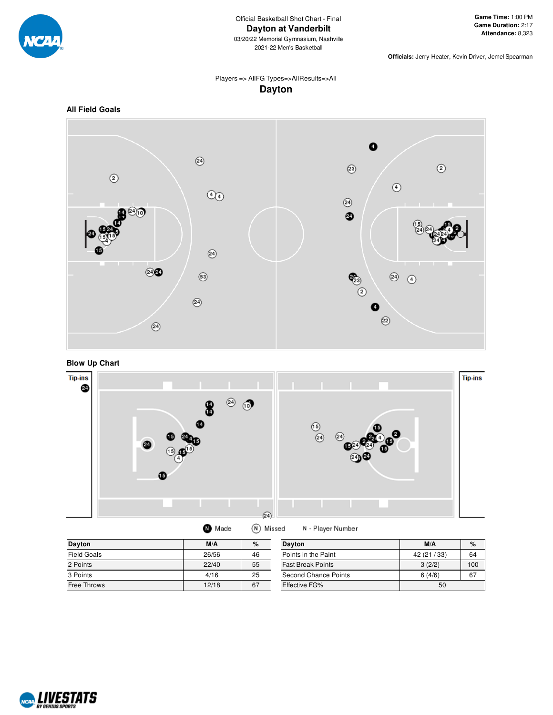

03/20/22 Memorial Gymnasium, Nashville 2021-22 Men's Basketball

**Officials:** Jerry Heater, Kevin Driver, Jemel Spearman

### Players => AllFG Types=>AllResults=>All **Dayton**







 $Dayton$ 

2 Points



| Dayton             | M/A   | $\%$ |   |
|--------------------|-------|------|---|
| <b>Field Goals</b> | 26/56 | 46   | г |
| 2 Points           | 22/40 | 55   |   |

3 Points 25 Free Throws 12/18 67

| <b>Dayton</b>            | M/A          | %   |
|--------------------------|--------------|-----|
| Points in the Paint      | 42 (21 / 33) | 64  |
| <b>Fast Break Points</b> | 3(2/2)       | 100 |
| ISecond Chance Points    | 6(4/6)       | 67  |
| <b>Effective FG%</b>     | 50           |     |

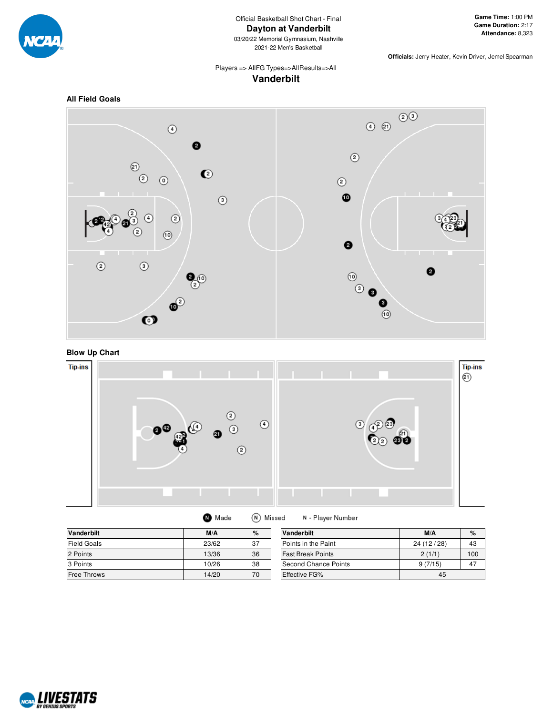

# Official Basketball Shot Chart - Final **Dayton at Vanderbilt**

03/20/22 Memorial Gymnasium, Nashville 2021-22 Men's Basketball

**Officials:** Jerry Heater, Kevin Driver, Jemel Spearman

#### Players => AllFG Types=>AllResults=>All **Vanderbilt**







| $\blacksquare$ Made | (N) Missed | N - Player Number |
|---------------------|------------|-------------------|
|---------------------|------------|-------------------|

| <b>Vanderbilt</b>  | M/A   | %  | Vanderbilt           | M/A        | $\%$ |
|--------------------|-------|----|----------------------|------------|------|
| <b>Field Goals</b> | 23/62 | 37 | Points in the Paint  | 24 (12/28) | 43   |
| 2 Points           | 13/36 | 36 | Fast Break Points    | 2(1/1)     | 100  |
| 3 Points           | 10/26 | 38 | Second Chance Points | 9(7/15)    | 47   |
| <b>Free Throws</b> | 14/20 | 70 | <b>Effective FG%</b> | 45         |      |

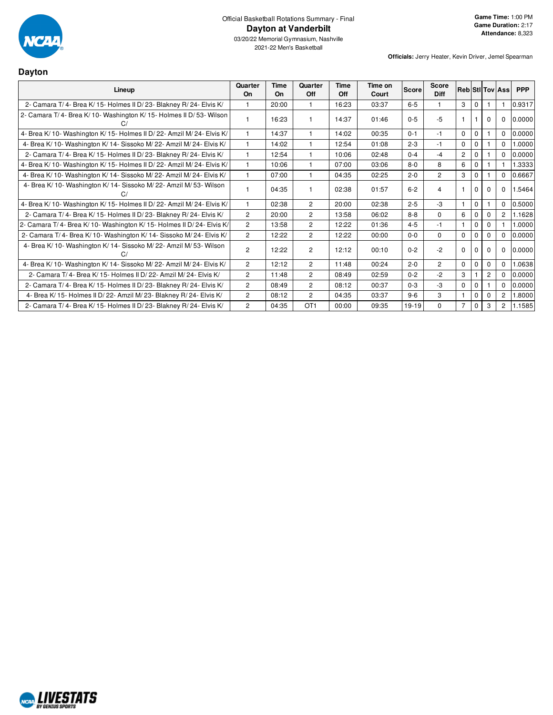

03/20/22 Memorial Gymnasium, Nashville 2021-22 Men's Basketball

| <b>Dayton</b>                                                           |                      |            |                 |             |                  |              |                      |                |              |          |                        |            |
|-------------------------------------------------------------------------|----------------------|------------|-----------------|-------------|------------------|--------------|----------------------|----------------|--------------|----------|------------------------|------------|
| Lineup                                                                  | Quarter<br><b>On</b> | Time<br>On | Quarter<br>Off  | Time<br>Off | Time on<br>Court | <b>Score</b> | Score<br><b>Diff</b> |                |              |          | <b>RebiStilToviAss</b> | <b>PPP</b> |
| 2- Camara T/4- Brea K/15- Holmes II D/23- Blakney R/24- Elvis K/        | 1                    | 20:00      | $\mathbf{1}$    | 16:23       | 03:37            | $6 - 5$      |                      | 3              | $\mathbf 0$  |          |                        | 0.9317     |
| 2- Camara T/4- Brea K/10- Washington K/15- Holmes II D/53- Wilson       |                      | 16:23      | -1              | 14:37       | 01:46            | $0 - 5$      | $-5$                 |                |              | $\Omega$ | $\mathbf 0$            | 0.0000     |
| 4- Brea K/ 10- Washington K/ 15- Holmes II D/ 22- Amzil M/ 24- Elvis K/ | $\mathbf{1}$         | 14:37      | $\mathbf{1}$    | 14:02       | 00:35            | $0 - 1$      | $-1$                 | $\mathbf 0$    | $\mathbf 0$  |          | $\mathbf 0$            | 0.0000     |
| 4- Brea K/10- Washington K/14- Sissoko M/22- Amzil M/24- Elvis K/       | $\mathbf{1}$         | 14:02      | $\mathbf{1}$    | 12:54       | 01:08            | $2 - 3$      | $-1$                 | $\Omega$       | $\mathbf{0}$ |          | $\Omega$               | 1.0000     |
| 2- Camara T/4- Brea K/15- Holmes II D/23- Blakney R/24- Elvis K/        | 1                    | 12:54      | $\mathbf{1}$    | 10:06       | 02:48            | $0 - 4$      | $-4$                 | $\overline{2}$ | $\Omega$     |          | $\Omega$               | 0.0000     |
| 4- Brea K/ 10- Washington K/ 15- Holmes II D/ 22- Amzil M/ 24- Elvis K/ | $\mathbf{1}$         | 10:06      | $\mathbf{1}$    | 07:00       | 03:06            | $8-0$        | 8                    | 6              | $\Omega$     |          |                        | 1.3333     |
| 4- Brea K/10- Washington K/14- Sissoko M/22- Amzil M/24- Elvis K/       | 1                    | 07:00      | $\mathbf{1}$    | 04:35       | 02:25            | $2 - 0$      | $\overline{2}$       | 3              | $\mathbf 0$  |          | $\Omega$               | 0.6667     |
| 4- Brea K/ 10- Washington K/ 14- Sissoko M/ 22- Amzil M/ 53- Wilson     | 1                    | 04:35      |                 | 02:38       | 01:57            | $6 - 2$      | 4                    |                | $\Omega$     | $\Omega$ | $\Omega$               | 1.5464     |
| 4- Brea K/ 10- Washington K/ 15- Holmes II D/ 22- Amzil M/ 24- Elvis K/ | $\mathbf{1}$         | 02:38      | 2               | 20:00       | 02:38            | $2 - 5$      | $-3$                 | $\mathbf{1}$   | $\mathbf 0$  |          | $\Omega$               | 0.5000     |
| 2- Camara T/4- Brea K/15- Holmes II D/23- Blakney R/24- Elvis K/        | $\overline{2}$       | 20:00      | 2               | 13:58       | 06:02            | $8 - 8$      | $\Omega$             | 6              | 0            | $\Omega$ | $\overline{2}$         | 1.1628     |
| 2- Camara T/4- Brea K/10- Washington K/15- Holmes II D/24- Elvis K/     | $\overline{c}$       | 13:58      | 2               | 12:22       | 01:36            | $4 - 5$      | $-1$                 | $\overline{1}$ | $\mathbf 0$  | $\Omega$ |                        | 0000.1     |
| 2- Camara T/4- Brea K/10- Washington K/14- Sissoko M/24- Elvis K/       | $\overline{2}$       | 12:22      | $\overline{2}$  | 12:22       | 00:00            | $0 - 0$      | $\Omega$             | $\Omega$       | $\Omega$     | $\Omega$ | $\Omega$               | 0.0000     |
| 4- Brea K/ 10- Washington K/ 14- Sissoko M/ 22- Amzil M/ 53- Wilson     | $\overline{c}$       | 12:22      | 2               | 12:12       | 00:10            | $0 - 2$      | $-2$                 | $\Omega$       | $\Omega$     | $\Omega$ | $\mathbf 0$            | 0.0000     |
| 4- Brea K/10- Washington K/14- Sissoko M/22- Amzil M/24- Elvis K/       | $\overline{2}$       | 12:12      | $\overline{2}$  | 11:48       | 00:24            | $2 - 0$      | $\overline{2}$       | $\Omega$       | $\Omega$     | $\Omega$ | $\Omega$               | 1.0638     |
| 2- Camara T/ 4- Brea K/ 15- Holmes II D/ 22- Amzil M/ 24- Elvis K/      | $\overline{2}$       | 11:48      | 2               | 08:49       | 02:59            | $0 - 2$      | $-2$                 | 3              |              | 2        | $\Omega$               | 0.0000     |
| 2- Camara T/4- Brea K/15- Holmes II D/23- Blakney R/24- Elvis K/        | $\overline{c}$       | 08:49      | 2               | 08:12       | 00:37            | $0 - 3$      | $-3$                 | $\mathbf 0$    | $\mathbf{0}$ |          | $\Omega$               | 0.0000     |
| 4- Brea K/ 15- Holmes II D/ 22- Amzil M/ 23- Blakney R/ 24- Elvis K/    | $\overline{2}$       | 08:12      | 2               | 04:35       | 03:37            | $9-6$        | 3                    | $\overline{1}$ | $\Omega$     | $\Omega$ | 2                      | 1.8000     |
| 2- Camara T/4- Brea K/15- Holmes II D/23- Blakney R/24- Elvis K/        | $\overline{c}$       | 04:35      | OT <sub>1</sub> | 00:00       | 09:35            | 19-19        | $\Omega$             | $\overline{7}$ | $\mathbf 0$  | 3        | 2                      | 1.1585     |

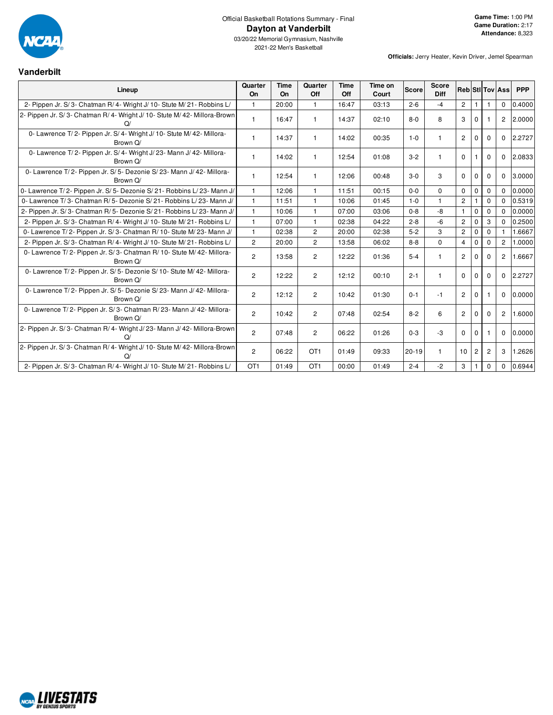

## Official Basketball Rotations Summary - Final **Dayton at Vanderbilt**

03/20/22 Memorial Gymnasium, Nashville 2021-22 Men's Basketball

| <b>Vanderbilt</b>                                                                  |                 |                   |                 |                    |                  |              |                             |                |                       |                |                        |            |
|------------------------------------------------------------------------------------|-----------------|-------------------|-----------------|--------------------|------------------|--------------|-----------------------------|----------------|-----------------------|----------------|------------------------|------------|
| Lineup                                                                             | Quarter<br>On   | <b>Time</b><br>On | Quarter<br>Off  | <b>Time</b><br>Off | Time on<br>Court | <b>Score</b> | <b>Score</b><br><b>Diff</b> |                |                       |                | <b>Reb StilTov Ass</b> | <b>PPP</b> |
| 2- Pippen Jr. S/3- Chatman R/4- Wright J/10- Stute M/21- Robbins L/                | 1.              | 20:00             | 1               | 16:47              | 03:13            | $2 - 6$      | $-4$                        | $\overline{2}$ | -1                    |                | 0                      | 0.4000     |
| 2- Pippen Jr. S/3- Chatman R/4- Wright J/10- Stute M/42- Millora-Brown<br>Q/       | 1               | 16:47             | 1               | 14:37              | 02:10            | $8 - 0$      | 8                           | 3              | $\Omega$              |                | $\overline{2}$         | 2.0000     |
| 0- Lawrence T/2- Pippen Jr. S/4- Wright J/10- Stute M/42- Millora-<br>Brown Q/     | 1               | 14:37             | $\mathbf{1}$    | 14:02              | 00:35            | $1 - 0$      | $\mathbf{1}$                | $\overline{2}$ | $\Omega$              | $\Omega$       | $\mathbf{0}$           | 2.2727     |
| 0- Lawrence T/2- Pippen Jr. S/4- Wright J/23- Mann J/42- Millora-<br>Brown Q/      | 1               | 14:02             | $\mathbf{1}$    | 12:54              | 01:08            | $3 - 2$      | $\mathbf{1}$                | $\mathbf 0$    |                       | $\Omega$       | 0                      | 2.0833     |
| 0- Lawrence T/2- Pippen Jr. S/5- Dezonie S/23- Mann J/42- Millora-<br>Brown Q/     | 1               | 12:54             | 1               | 12:06              | 00:48            | $3-0$        | 3                           | 0              | $\mathbf 0$           | $\Omega$       | $\mathbf{0}$           | 3.0000     |
| 0- Lawrence T/2- Pippen Jr. S/5- Dezonie S/21- Robbins L/23- Mann J/               | $\mathbf{1}$    | 12:06             | $\mathbf{1}$    | 11:51              | 00:15            | $0 - 0$      | $\Omega$                    | $\Omega$       | 0                     | $\mathbf 0$    | $\mathbf{0}$           | 0.0000     |
| 0- Lawrence T/3- Chatman R/5- Dezonie S/21- Robbins L/23- Mann J/                  | $\mathbf{1}$    | 11:51             | $\mathbf{1}$    | 10:06              | 01:45            | $1 - 0$      | $\mathbf{1}$                | $\overline{2}$ |                       | $\Omega$       | $\Omega$               | 0.5319     |
| 2- Pippen Jr. S/3- Chatman R/5- Dezonie S/21- Robbins L/23- Mann J/                | $\mathbf{1}$    | 10:06             | $\mathbf{1}$    | 07:00              | 03:06            | $0 - 8$      | -8                          | $\mathbf{1}$   | 0                     | $\mathbf 0$    | $\Omega$               | 0.0000     |
| 2- Pippen Jr. S/3- Chatman R/4- Wright J/10- Stute M/21- Robbins L/                | 1               | 07:00             | 1               | 02:38              | 04:22            | $2 - 8$      | $-6$                        | $\overline{c}$ | $\mathbf 0$           | 3              | $\Omega$               | 0.2500     |
| 0- Lawrence T/2- Pippen Jr. S/3- Chatman R/10- Stute M/23- Mann J/                 | 1               | 02:38             | $\overline{2}$  | 20:00              | 02:38            | $5-2$        | 3                           | $\overline{c}$ | 0                     | $\mathbf 0$    |                        | 1.6667     |
| 2- Pippen Jr. S/3- Chatman R/4- Wright J/10- Stute M/21- Robbins L/                | $\overline{2}$  | 20:00             | $\overline{c}$  | 13:58              | 06:02            | $8 - 8$      | $\Omega$                    | $\overline{4}$ | $\mathbf 0$           | $\Omega$       | $\overline{2}$         | 1.0000     |
| 0- Lawrence T/2- Pippen Jr. S/3- Chatman R/10- Stute M/42- Millora-<br>Brown O/    | $\overline{2}$  | 13:58             | $\overline{2}$  | 12:22              | 01:36            | $5 - 4$      |                             | $\overline{2}$ | $\Omega$              | $\Omega$       | $\overline{2}$         | 1.6667     |
| 0- Lawrence T/2- Pippen Jr. S/5- Dezonie S/10- Stute M/42- Millora-<br>Brown Q/    | $\overline{2}$  | 12:22             | $\overline{2}$  | 12:12              | 00:10            | $2 - 1$      | $\mathbf{1}$                | $\mathbf 0$    | $\Omega$              | $\Omega$       | $\mathbf{0}$           | 2.2727     |
| 0- Lawrence T/2- Pippen Jr. S/5- Dezonie S/23- Mann J/42- Millora-<br>Brown Q/     | $\overline{c}$  | 12:12             | $\overline{2}$  | 10:42              | 01:30            | $0 - 1$      | $-1$                        | $\overline{2}$ | $\mathbf 0$           |                | 0                      | 0.0000     |
| 0- Lawrence T/2- Pippen Jr. S/3- Chatman R/23- Mann J/42- Millora-<br>Brown Q/     | $\overline{2}$  | 10:42             | $\overline{2}$  | 07:48              | 02:54            | $8 - 2$      | 6                           | $\overline{2}$ | $\mathbf 0$           | $\Omega$       | $\overline{2}$         | 1.6000     |
| 2- Pippen Jr. S/3- Chatman R/4- Wright J/23- Mann J/42- Millora-Brown<br>$\Omega$  | $\overline{c}$  | 07:48             | $\overline{2}$  | 06:22              | 01:26            | $0 - 3$      | $-3$                        | 0              | $\mathbf 0$           |                | 0                      | 0.0000     |
| 2- Pippen Jr. S/3- Chatman R/4- Wright J/10- Stute M/42- Millora-Brown<br>$\Omega$ | $\overline{2}$  | 06:22             | OT <sub>1</sub> | 01:49              | 09:33            | $20 - 19$    | $\mathbf{1}$                | 10             | $\mathbf{2}^{\prime}$ | $\overline{c}$ | 3                      | 1.2626     |
| 2- Pippen Jr. S/3- Chatman R/4- Wright J/10- Stute M/21- Robbins L/                | OT <sub>1</sub> | 01:49             | OT <sub>1</sub> | 00:00              | 01:49            | $2 - 4$      | $-2$                        | 3              |                       | $\mathbf 0$    | $\mathbf 0$            | 0.6944     |

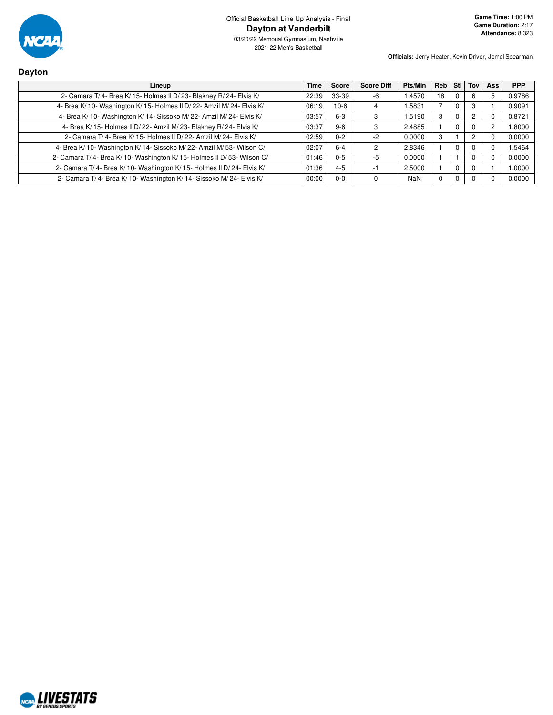

| <b>Dayton</b>                                                           |             |              |                   |            |            |          |          |            |            |
|-------------------------------------------------------------------------|-------------|--------------|-------------------|------------|------------|----------|----------|------------|------------|
| Lineup                                                                  | <b>Time</b> | <b>Score</b> | <b>Score Diff</b> | Pts/Min    | <b>Reb</b> | Stl I    | Tov      | <b>Ass</b> | <b>PPP</b> |
| 2- Camara T/4- Brea K/15- Holmes II D/23- Blakney R/24- Elvis K/        | 22:39       | 33-39        | -6                | 1.4570     | 18         |          | h        |            | 0.9786     |
| 4- Brea K/ 10- Washington K/ 15- Holmes II D/ 22- Amzil M/ 24- Elvis K/ | 06:19       | $10-6$       | 4                 | .5831      |            | 0        | 3        |            | 0.9091     |
| 4- Brea K/10- Washington K/14- Sissoko M/22- Amzil M/24- Elvis K/       | 03:57       | $6 - 3$      | 3                 | .5190      | 3          | $\Omega$ |          | -0         | 0.8721     |
| 4- Brea K/15- Holmes II D/22- Amzil M/23- Blakney R/24- Elvis K/        | 03:37       | $9-6$        | 3                 | 2.4885     |            | $\Omega$ |          | 2          | 1.8000     |
| 2- Camara T/4- Brea K/15- Holmes II D/22- Amzil M/24- Elvis K/          | 02:59       | $0 - 2$      | -2                | 0.0000     | 3          |          |          |            | 0.0000     |
| 4- Brea K/ 10- Washington K/ 14- Sissoko M/ 22- Amzil M/ 53- Wilson C/  | 02:07       | $6 - 4$      | $\mathcal{P}$     | 2.8346     |            | 0        |          |            | 1.5464     |
| 2- Camara T/4- Brea K/10- Washington K/15- Holmes II D/53- Wilson C/    | 01:46       | $0 - 5$      | -5                | 0.0000     |            |          |          | $\Omega$   | 0.0000     |
| 2- Camara T/4- Brea K/10- Washington K/15- Holmes II D/24- Elvis K/     | 01:36       | $4 - 5$      | -1                | 2.5000     |            | $\Omega$ | $\Omega$ |            | 1.0000     |
| 2- Camara T/4- Brea K/10- Washington K/14- Sissoko M/24- Elvis K/       | 00:00       | $0 - 0$      | $\mathbf 0$       | <b>NaN</b> |            | 0        |          | U          | 0.0000     |